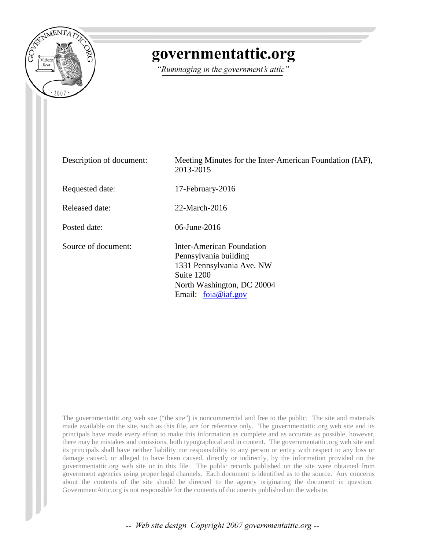

# governmentattic.org

"Rummaging in the government's attic"

| Description of document: | Meeting Minutes for the Inter-American Foundation (IAF),<br>2013-2015                                                                                |
|--------------------------|------------------------------------------------------------------------------------------------------------------------------------------------------|
| Requested date:          | 17-February-2016                                                                                                                                     |
| Released date:           | 22-March-2016                                                                                                                                        |
| Posted date:             | 06-June-2016                                                                                                                                         |
| Source of document:      | Inter-American Foundation<br>Pennsylvania building<br>1331 Pennsylvania Ave. NW<br>Suite 1200<br>North Washington, DC 20004<br>Email: $foia@iaf.gov$ |

The governmentattic.org web site ("the site") is noncommercial and free to the public. The site and materials made available on the site, such as this file, are for reference only. The governmentattic.org web site and its principals have made every effort to make this information as complete and as accurate as possible, however, there may be mistakes and omissions, both typographical and in content. The governmentattic.org web site and its principals shall have neither liability nor responsibility to any person or entity with respect to any loss or damage caused, or alleged to have been caused, directly or indirectly, by the information provided on the governmentattic.org web site or in this file. The public records published on the site were obtained from government agencies using proper legal channels. Each document is identified as to the source. Any concerns about the contents of the site should be directed to the agency originating the document in question. GovernmentAttic.org is not responsible for the contents of documents published on the website.

-- Web site design Copyright 2007 governmentattic.org --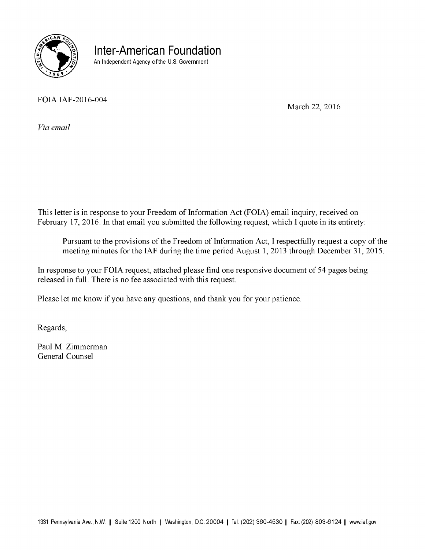

**Inter-American Foundation**  An Independent Agency of the U.S. Government

FOIA IAF-2016-004

March 22, 2016

*Via email* 

This letter is in response to your Freedom of Information Act (FOIA) email inquiry, received on February 17, 2016. In that email you submitted the following request, which I quote in its entirety:

Pursuant to the provisions of the Freedom of Information Act, I respectfully request a copy of the meeting minutes for the IAF during the time period August 1, 2013 through December 31, 2015.

In response to your FOIA request, attached please find one responsive document of 54 pages being released in full. There is no fee associated with this request.

Please let me know if you have any questions, and thank you for your patience.

Regards,

Paul M. Zimmerman General Counsel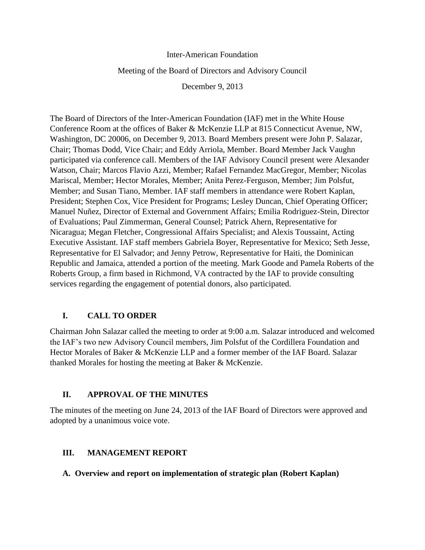#### Inter-American Foundation

#### Meeting of the Board of Directors and Advisory Council

December 9, 2013

The Board of Directors of the Inter-American Foundation (IAF) met in the White House Conference Room at the offices of Baker & McKenzie LLP at 815 Connecticut Avenue, NW, Washington, DC 20006, on December 9, 2013. Board Members present were John P. Salazar, Chair; Thomas Dodd, Vice Chair; and Eddy Arriola, Member. Board Member Jack Vaughn participated via conference call. Members of the IAF Advisory Council present were Alexander Watson, Chair; Marcos Flavio Azzi, Member; Rafael Fernandez MacGregor, Member; Nicolas Mariscal, Member; Hector Morales, Member; Anita Perez-Ferguson, Member; Jim Polsfut, Member; and Susan Tiano, Member. IAF staff members in attendance were Robert Kaplan, President; Stephen Cox, Vice President for Programs; Lesley Duncan, Chief Operating Officer; Manuel Nuñez, Director of External and Government Affairs; Emilia Rodriguez-Stein, Director of Evaluations; Paul Zimmerman, General Counsel; Patrick Ahern, Representative for Nicaragua; Megan Fletcher, Congressional Affairs Specialist; and Alexis Toussaint, Acting Executive Assistant. IAF staff members Gabriela Boyer, Representative for Mexico; Seth Jesse, Representative for El Salvador; and Jenny Petrow, Representative for Haiti, the Dominican Republic and Jamaica, attended a portion of the meeting. Mark Goode and Pamela Roberts of the Roberts Group, a firm based in Richmond, VA contracted by the IAF to provide consulting services regarding the engagement of potential donors, also participated.

# **I. CALL TO ORDER**

Chairman John Salazar called the meeting to order at 9:00 a.m. Salazar introduced and welcomed the IAF's two new Advisory Council members, Jim Polsfut of the Cordillera Foundation and Hector Morales of Baker & McKenzie LLP and a former member of the IAF Board. Salazar thanked Morales for hosting the meeting at Baker & McKenzie.

#### **II. APPROVAL OF THE MINUTES**

The minutes of the meeting on June 24, 2013 of the IAF Board of Directors were approved and adopted by a unanimous voice vote.

# **III. MANAGEMENT REPORT**

#### **A. Overview and report on implementation of strategic plan (Robert Kaplan)**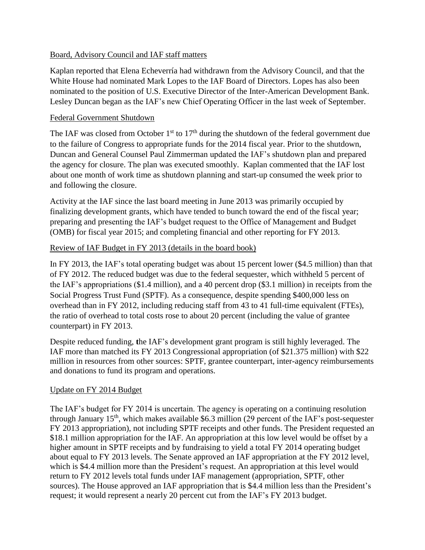### Board, Advisory Council and IAF staff matters

Kaplan reported that Elena Echeverría had withdrawn from the Advisory Council, and that the White House had nominated Mark Lopes to the IAF Board of Directors. Lopes has also been nominated to the position of U.S. Executive Director of the Inter-American Development Bank. Lesley Duncan began as the IAF's new Chief Operating Officer in the last week of September.

#### Federal Government Shutdown

The IAF was closed from October  $1<sup>st</sup>$  to  $17<sup>th</sup>$  during the shutdown of the federal government due to the failure of Congress to appropriate funds for the 2014 fiscal year. Prior to the shutdown, Duncan and General Counsel Paul Zimmerman updated the IAF's shutdown plan and prepared the agency for closure. The plan was executed smoothly. Kaplan commented that the IAF lost about one month of work time as shutdown planning and start-up consumed the week prior to and following the closure.

Activity at the IAF since the last board meeting in June 2013 was primarily occupied by finalizing development grants, which have tended to bunch toward the end of the fiscal year; preparing and presenting the IAF's budget request to the Office of Management and Budget (OMB) for fiscal year 2015; and completing financial and other reporting for FY 2013.

# Review of IAF Budget in FY 2013 (details in the board book)

In FY 2013, the IAF's total operating budget was about 15 percent lower (\$4.5 million) than that of FY 2012. The reduced budget was due to the federal sequester, which withheld 5 percent of the IAF's appropriations (\$1.4 million), and a 40 percent drop (\$3.1 million) in receipts from the Social Progress Trust Fund (SPTF). As a consequence, despite spending \$400,000 less on overhead than in FY 2012, including reducing staff from 43 to 41 full-time equivalent (FTEs), the ratio of overhead to total costs rose to about 20 percent (including the value of grantee counterpart) in FY 2013.

Despite reduced funding, **t**he IAF's development grant program is still highly leveraged. The IAF more than matched its FY 2013 Congressional appropriation (of \$21.375 million) with \$22 million in resources from other sources: SPTF, grantee counterpart, inter-agency reimbursements and donations to fund its program and operations.

# Update on FY 2014 Budget

The IAF's budget for FY 2014 is uncertain. The agency is operating on a continuing resolution through January  $15<sup>th</sup>$ , which makes available \$6.3 million (29 percent of the IAF's post-sequester FY 2013 appropriation), not including SPTF receipts and other funds. The President requested an \$18.1 million appropriation for the IAF. An appropriation at this low level would be offset by a higher amount in SPTF receipts and by fundraising to yield a total FY 2014 operating budget about equal to FY 2013 levels. The Senate approved an IAF appropriation at the FY 2012 level, which is \$4.4 million more than the President's request. An appropriation at this level would return to FY 2012 levels total funds under IAF management (appropriation, SPTF, other sources). The House approved an IAF appropriation that is \$4.4 million less than the President's request; it would represent a nearly 20 percent cut from the IAF's FY 2013 budget.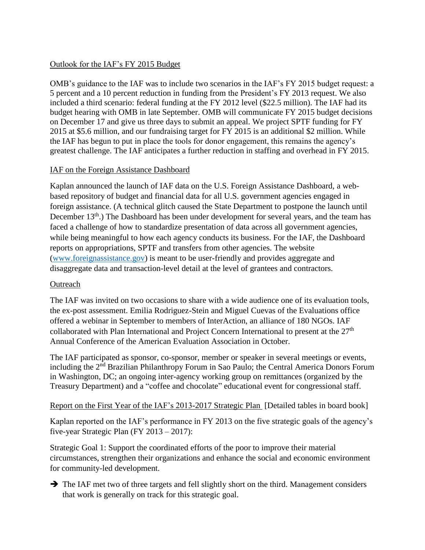# Outlook for the IAF's FY 2015 Budget

OMB's guidance to the IAF was to include two scenarios in the IAF's FY 2015 budget request: a 5 percent and a 10 percent reduction in funding from the President's FY 2013 request. We also included a third scenario: federal funding at the FY 2012 level (\$22.5 million). The IAF had its budget hearing with OMB in late September. OMB will communicate FY 2015 budget decisions on December 17 and give us three days to submit an appeal. We project SPTF funding for FY 2015 at \$5.6 million, and our fundraising target for FY 2015 is an additional \$2 million. While the IAF has begun to put in place the tools for donor engagement, this remains the agency's greatest challenge. The IAF anticipates a further reduction in staffing and overhead in FY 2015.

# IAF on the Foreign Assistance Dashboard

Kaplan announced the launch of IAF data on the U.S. Foreign Assistance Dashboard, a webbased repository of budget and financial data for all U.S. government agencies engaged in foreign assistance. (A technical glitch caused the State Department to postpone the launch until December 13<sup>th</sup>.) The Dashboard has been under development for several years, and the team has faced a challenge of how to standardize presentation of data across all government agencies, while being meaningful to how each agency conducts its business. For the IAF, the Dashboard reports on appropriations, SPTF and transfers from other agencies. The website [\(www.foreignassistance.gov\)](http://www.foreignassistance.gov/) is meant to be user-friendly and provides aggregate and disaggregate data and transaction-level detail at the level of grantees and contractors.

# **Outreach**

The IAF was invited on two occasions to share with a wide audience one of its evaluation tools, the ex-post assessment. Emilia Rodriguez-Stein and Miguel Cuevas of the Evaluations office offered a webinar in September to members of InterAction, an alliance of 180 NGOs. IAF collaborated with Plan International and Project Concern International to present at the 27<sup>th</sup> Annual Conference of the American Evaluation Association in October.

The IAF participated as sponsor, co-sponsor, member or speaker in several meetings or events, including the 2<sup>nd</sup> Brazilian Philanthropy Forum in Sao Paulo; the Central America Donors Forum in Washington, DC; an ongoing inter-agency working group on remittances (organized by the Treasury Department) and a "coffee and chocolate" educational event for congressional staff.

Report on the First Year of the IAF's 2013-2017 Strategic Plan [Detailed tables in board book]

Kaplan reported on the IAF's performance in FY 2013 on the five strategic goals of the agency's five-year Strategic Plan (FY 2013 – 2017):

Strategic Goal 1: Support the coordinated efforts of the poor to improve their material circumstances, strengthen their organizations and enhance the social and economic environment for community-led development.

 $\rightarrow$  The IAF met two of three targets and fell slightly short on the third. Management considers that work is generally on track for this strategic goal.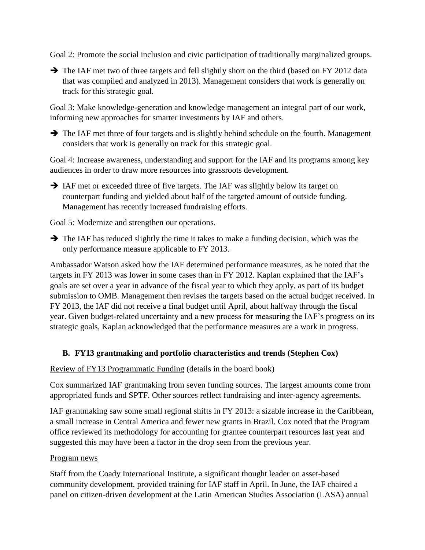Goal 2: Promote the social inclusion and civic participation of traditionally marginalized groups.

The IAF met two of three targets and fell slightly short on the third (based on FY 2012 data that was compiled and analyzed in 2013). Management considers that work is generally on track for this strategic goal.

Goal 3: Make knowledge-generation and knowledge management an integral part of our work, informing new approaches for smarter investments by IAF and others.

 $\rightarrow$  The IAF met three of four targets and is slightly behind schedule on the fourth. Management considers that work is generally on track for this strategic goal.

Goal 4: Increase awareness, understanding and support for the IAF and its programs among key audiences in order to draw more resources into grassroots development.

 IAF met or exceeded three of five targets. The IAF was slightly below its target on counterpart funding and yielded about half of the targeted amount of outside funding. Management has recently increased fundraising efforts.

Goal 5: Modernize and strengthen our operations.

 $\rightarrow$  The IAF has reduced slightly the time it takes to make a funding decision, which was the only performance measure applicable to FY 2013.

Ambassador Watson asked how the IAF determined performance measures, as he noted that the targets in FY 2013 was lower in some cases than in FY 2012. Kaplan explained that the IAF's goals are set over a year in advance of the fiscal year to which they apply, as part of its budget submission to OMB. Management then revises the targets based on the actual budget received. In FY 2013, the IAF did not receive a final budget until April, about halfway through the fiscal year. Given budget-related uncertainty and a new process for measuring the IAF's progress on its strategic goals, Kaplan acknowledged that the performance measures are a work in progress.

# **B. FY13 grantmaking and portfolio characteristics and trends (Stephen Cox)**

# Review of FY13 Programmatic Funding (details in the board book)

Cox summarized IAF grantmaking from seven funding sources. The largest amounts come from appropriated funds and SPTF. Other sources reflect fundraising and inter-agency agreements.

IAF grantmaking saw some small regional shifts in FY 2013: a sizable increase in the Caribbean, a small increase in Central America and fewer new grants in Brazil. Cox noted that the Program office reviewed its methodology for accounting for grantee counterpart resources last year and suggested this may have been a factor in the drop seen from the previous year.

# Program news

Staff from the Coady International Institute, a significant thought leader on asset-based community development, provided training for IAF staff in April. In June, the IAF chaired a panel on citizen-driven development at the Latin American Studies Association (LASA) annual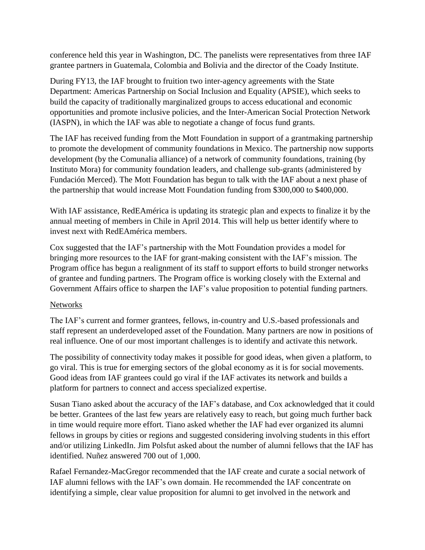conference held this year in Washington, DC. The panelists were representatives from three IAF grantee partners in Guatemala, Colombia and Bolivia and the director of the Coady Institute.

During FY13, the IAF brought to fruition two inter-agency agreements with the State Department: Americas Partnership on Social Inclusion and Equality (APSIE), which seeks to build the capacity of traditionally marginalized groups to access educational and economic opportunities and promote inclusive policies, and the Inter-American Social Protection Network (IASPN), in which the IAF was able to negotiate a change of focus fund grants.

The IAF has received funding from the Mott Foundation in support of a grantmaking partnership to promote the development of community foundations in Mexico. The partnership now supports development (by the Comunalia alliance) of a network of community foundations, training (by Instituto Mora) for community foundation leaders, and challenge sub-grants (administered by Fundación Merced). The Mott Foundation has begun to talk with the IAF about a next phase of the partnership that would increase Mott Foundation funding from \$300,000 to \$400,000.

With IAF assistance, RedEAmérica is updating its strategic plan and expects to finalize it by the annual meeting of members in Chile in April 2014. This will help us better identify where to invest next with RedEAmérica members.

Cox suggested that the IAF's partnership with the Mott Foundation provides a model for bringing more resources to the IAF for grant-making consistent with the IAF's mission. The Program office has begun a realignment of its staff to support efforts to build stronger networks of grantee and funding partners. The Program office is working closely with the External and Government Affairs office to sharpen the IAF's value proposition to potential funding partners.

# **Networks**

The IAF's current and former grantees, fellows, in-country and U.S.-based professionals and staff represent an underdeveloped asset of the Foundation. Many partners are now in positions of real influence. One of our most important challenges is to identify and activate this network.

The possibility of connectivity today makes it possible for good ideas, when given a platform, to go viral. This is true for emerging sectors of the global economy as it is for social movements. Good ideas from IAF grantees could go viral if the IAF activates its network and builds a platform for partners to connect and access specialized expertise.

Susan Tiano asked about the accuracy of the IAF's database, and Cox acknowledged that it could be better. Grantees of the last few years are relatively easy to reach, but going much further back in time would require more effort. Tiano asked whether the IAF had ever organized its alumni fellows in groups by cities or regions and suggested considering involving students in this effort and/or utilizing LinkedIn. Jim Polsfut asked about the number of alumni fellows that the IAF has identified. Nuñez answered 700 out of 1,000.

Rafael Fernandez-MacGregor recommended that the IAF create and curate a social network of IAF alumni fellows with the IAF's own domain. He recommended the IAF concentrate on identifying a simple, clear value proposition for alumni to get involved in the network and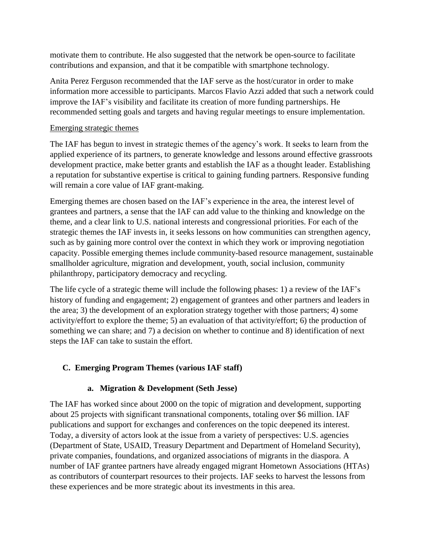motivate them to contribute. He also suggested that the network be open-source to facilitate contributions and expansion, and that it be compatible with smartphone technology.

Anita Perez Ferguson recommended that the IAF serve as the host/curator in order to make information more accessible to participants. Marcos Flavio Azzi added that such a network could improve the IAF's visibility and facilitate its creation of more funding partnerships. He recommended setting goals and targets and having regular meetings to ensure implementation.

# Emerging strategic themes

The IAF has begun to invest in strategic themes of the agency's work. It seeks to learn from the applied experience of its partners, to generate knowledge and lessons around effective grassroots development practice, make better grants and establish the IAF as a thought leader. Establishing a reputation for substantive expertise is critical to gaining funding partners. Responsive funding will remain a core value of IAF grant-making.

Emerging themes are chosen based on the IAF's experience in the area, the interest level of grantees and partners, a sense that the IAF can add value to the thinking and knowledge on the theme, and a clear link to U.S. national interests and congressional priorities. For each of the strategic themes the IAF invests in, it seeks lessons on how communities can strengthen agency, such as by gaining more control over the context in which they work or improving negotiation capacity. Possible emerging themes include community-based resource management, sustainable smallholder agriculture, migration and development, youth, social inclusion, community philanthropy, participatory democracy and recycling.

The life cycle of a strategic theme will include the following phases: 1) a review of the IAF's history of funding and engagement; 2) engagement of grantees and other partners and leaders in the area; 3) the development of an exploration strategy together with those partners; 4) some activity/effort to explore the theme; 5) an evaluation of that activity/effort; 6) the production of something we can share; and 7) a decision on whether to continue and 8) identification of next steps the IAF can take to sustain the effort.

# **C. Emerging Program Themes (various IAF staff)**

# **a. Migration & Development (Seth Jesse)**

The IAF has worked since about 2000 on the topic of migration and development, supporting about 25 projects with significant transnational components, totaling over \$6 million. IAF publications and support for exchanges and conferences on the topic deepened its interest. Today, a diversity of actors look at the issue from a variety of perspectives: U.S. agencies (Department of State, USAID, Treasury Department and Department of Homeland Security), private companies, foundations, and organized associations of migrants in the diaspora. A number of IAF grantee partners have already engaged migrant Hometown Associations (HTAs) as contributors of counterpart resources to their projects. IAF seeks to harvest the lessons from these experiences and be more strategic about its investments in this area.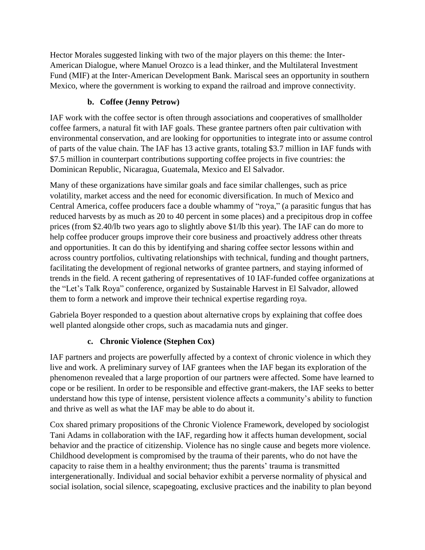Hector Morales suggested linking with two of the major players on this theme: the Inter-American Dialogue, where Manuel Orozco is a lead thinker, and the Multilateral Investment Fund (MIF) at the Inter-American Development Bank. Mariscal sees an opportunity in southern Mexico, where the government is working to expand the railroad and improve connectivity.

# **b. Coffee (Jenny Petrow)**

IAF work with the coffee sector is often through associations and cooperatives of smallholder coffee farmers, a natural fit with IAF goals. These grantee partners often pair cultivation with environmental conservation, and are looking for opportunities to integrate into or assume control of parts of the value chain. The IAF has 13 active grants, totaling \$3.7 million in IAF funds with \$7.5 million in counterpart contributions supporting coffee projects in five countries: the Dominican Republic, Nicaragua, Guatemala, Mexico and El Salvador.

Many of these organizations have similar goals and face similar challenges, such as price volatility, market access and the need for economic diversification. In much of Mexico and Central America, coffee producers face a double whammy of "roya," (a parasitic fungus that has reduced harvests by as much as 20 to 40 percent in some places) and a precipitous drop in coffee prices (from \$2.40/lb two years ago to slightly above \$1/lb this year). The IAF can do more to help coffee producer groups improve their core business and proactively address other threats and opportunities. It can do this by identifying and sharing coffee sector lessons within and across country portfolios, cultivating relationships with technical, funding and thought partners, facilitating the development of regional networks of grantee partners, and staying informed of trends in the field. A recent gathering of representatives of 10 IAF-funded coffee organizations at the "Let's Talk Roya" conference, organized by Sustainable Harvest in El Salvador, allowed them to form a network and improve their technical expertise regarding roya.

Gabriela Boyer responded to a question about alternative crops by explaining that coffee does well planted alongside other crops, such as macadamia nuts and ginger.

# **c. Chronic Violence (Stephen Cox)**

IAF partners and projects are powerfully affected by a context of chronic violence in which they live and work. A preliminary survey of IAF grantees when the IAF began its exploration of the phenomenon revealed that a large proportion of our partners were affected. Some have learned to cope or be resilient. In order to be responsible and effective grant-makers, the IAF seeks to better understand how this type of intense, persistent violence affects a community's ability to function and thrive as well as what the IAF may be able to do about it.

Cox shared primary propositions of the Chronic Violence Framework, developed by sociologist Tani Adams in collaboration with the IAF, regarding how it affects human development, social behavior and the practice of citizenship. Violence has no single cause and begets more violence. Childhood development is compromised by the trauma of their parents, who do not have the capacity to raise them in a healthy environment; thus the parents' trauma is transmitted intergenerationally. Individual and social behavior exhibit a perverse normality of physical and social isolation, social silence, scapegoating, exclusive practices and the inability to plan beyond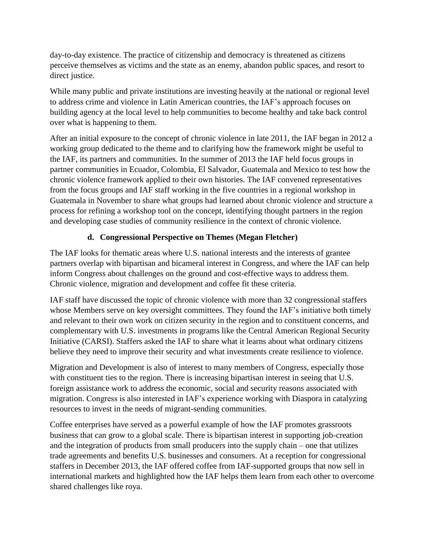day-to-day existence. The practice of citizenship and democracy is threatened as citizens perceive themselves as victims and the state as an enemy, abandon public spaces, and resort to direct justice.

While many public and private institutions are investing heavily at the national or regional level to address crime and violence in Latin American countries, the IAF's approach focuses on building agency at the local level to help communities to become healthy and take back control over what is happening to them.

After an initial exposure to the concept of chronic violence in late 2011, the IAF began in 2012 a working group dedicated to the theme and to clarifying how the framework might be useful to the IAF, its partners and communities. In the summer of 2013 the IAF held focus groups in partner communities in Ecuador, Colombia, El Salvador, Guatemala and Mexico to test how the chronic violence framework applied to their own histories. The IAF convened representatives from the focus groups and IAF staff working in the five countries in a regional workshop in Guatemala in November to share what groups had learned about chronic violence and structure a process for refining a workshop tool on the concept, identifying thought partners in the region and developing case studies of community resilience in the context of chronic violence.

# **d. Congressional Perspective on Themes (Megan Fletcher)**

The IAF looks for thematic areas where U.S. national interests and the interests of grantee partners overlap with bipartisan and bicameral interest in Congress, and where the IAF can help inform Congress about challenges on the ground and cost-effective ways to address them. Chronic violence, migration and development and coffee fit these criteria.

IAF staff have discussed the topic of chronic violence with more than 32 congressional staffers whose Members serve on key oversight committees. They found the IAF's initiative both timely and relevant to their own work on citizen security in the region and to constituent concerns, and complementary with U.S. investments in programs like the Central American Regional Security Initiative (CARSI). Staffers asked the IAF to share what it learns about what ordinary citizens believe they need to improve their security and what investments create resilience to violence.

Migration and Development is also of interest to many members of Congress, especially those with constituent ties to the region. There is increasing bipartisan interest in seeing that U.S. foreign assistance work to address the economic, social and security reasons associated with migration. Congress is also interested in IAF's experience working with Diaspora in catalyzing resources to invest in the needs of migrant-sending communities.

Coffee enterprises have served as a powerful example of how the IAF promotes grassroots business that can grow to a global scale. There is bipartisan interest in supporting job-creation and the integration of products from small producers into the supply chain – one that utilizes trade agreements and benefits U.S. businesses and consumers. At a reception for congressional staffers in December 2013, the IAF offered coffee from IAF-supported groups that now sell in international markets and highlighted how the IAF helps them learn from each other to overcome shared challenges like roya.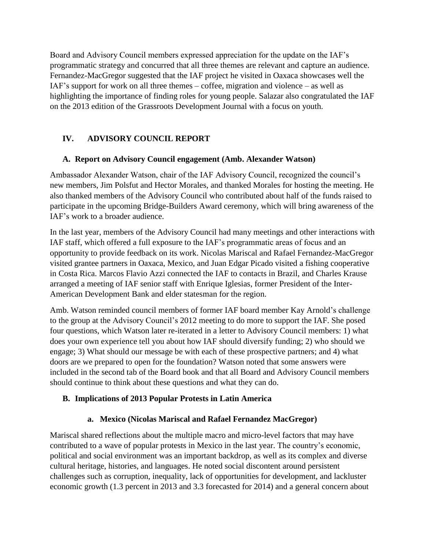Board and Advisory Council members expressed appreciation for the update on the IAF's programmatic strategy and concurred that all three themes are relevant and capture an audience. Fernandez-MacGregor suggested that the IAF project he visited in Oaxaca showcases well the IAF's support for work on all three themes – coffee, migration and violence – as well as highlighting the importance of finding roles for young people. Salazar also congratulated the IAF on the 2013 edition of the Grassroots Development Journal with a focus on youth.

# **IV. ADVISORY COUNCIL REPORT**

# **A. Report on Advisory Council engagement (Amb. Alexander Watson)**

Ambassador Alexander Watson, chair of the IAF Advisory Council, recognized the council's new members, Jim Polsfut and Hector Morales, and thanked Morales for hosting the meeting. He also thanked members of the Advisory Council who contributed about half of the funds raised to participate in the upcoming Bridge-Builders Award ceremony, which will bring awareness of the IAF's work to a broader audience.

In the last year, members of the Advisory Council had many meetings and other interactions with IAF staff, which offered a full exposure to the IAF's programmatic areas of focus and an opportunity to provide feedback on its work. Nicolas Mariscal and Rafael Fernandez-MacGregor visited grantee partners in Oaxaca, Mexico, and Juan Edgar Picado visited a fishing cooperative in Costa Rica. Marcos Flavio Azzi connected the IAF to contacts in Brazil, and Charles Krause arranged a meeting of IAF senior staff with Enrique Iglesias, former President of the Inter-American Development Bank and elder statesman for the region.

Amb. Watson reminded council members of former IAF board member Kay Arnold's challenge to the group at the Advisory Council's 2012 meeting to do more to support the IAF. She posed four questions, which Watson later re-iterated in a letter to Advisory Council members: 1) what does your own experience tell you about how IAF should diversify funding; 2) who should we engage; 3) What should our message be with each of these prospective partners; and 4) what doors are we prepared to open for the foundation? Watson noted that some answers were included in the second tab of the Board book and that all Board and Advisory Council members should continue to think about these questions and what they can do.

# **B. Implications of 2013 Popular Protests in Latin America**

# **a. Mexico (Nicolas Mariscal and Rafael Fernandez MacGregor)**

Mariscal shared reflections about the multiple macro and micro-level factors that may have contributed to a wave of popular protests in Mexico in the last year. The country's economic, political and social environment was an important backdrop, as well as its complex and diverse cultural heritage, histories, and languages. He noted social discontent around persistent challenges such as corruption, inequality, lack of opportunities for development, and lackluster economic growth (1.3 percent in 2013 and 3.3 forecasted for 2014) and a general concern about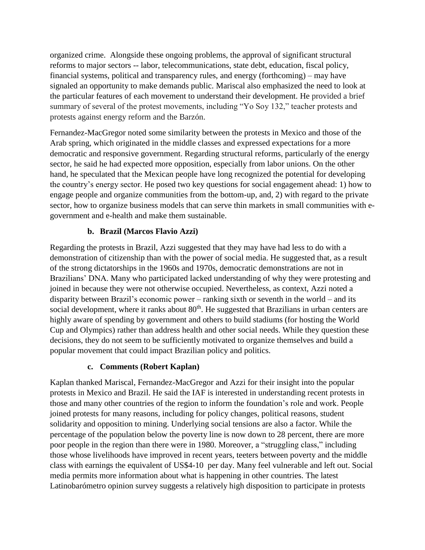organized crime. Alongside these ongoing problems, the approval of significant structural reforms to major sectors -- labor, telecommunications, state debt, education, fiscal policy, financial systems, political and transparency rules, and energy (forthcoming) – may have signaled an opportunity to make demands public. Mariscal also emphasized the need to look at the particular features of each movement to understand their development. He provided a brief summary of several of the protest movements, including "Yo Soy 132," teacher protests and protests against energy reform and the Barzón.

Fernandez-MacGregor noted some similarity between the protests in Mexico and those of the Arab spring, which originated in the middle classes and expressed expectations for a more democratic and responsive government. Regarding structural reforms, particularly of the energy sector, he said he had expected more opposition, especially from labor unions. On the other hand, he speculated that the Mexican people have long recognized the potential for developing the country's energy sector. He posed two key questions for social engagement ahead: 1) how to engage people and organize communities from the bottom-up, and, 2) with regard to the private sector, how to organize business models that can serve thin markets in small communities with egovernment and e-health and make them sustainable.

# **b. Brazil (Marcos Flavio Azzi)**

Regarding the protests in Brazil, Azzi suggested that they may have had less to do with a demonstration of citizenship than with the power of social media. He suggested that, as a result of the strong dictatorships in the 1960s and 1970s, democratic demonstrations are not in Brazilians' DNA. Many who participated lacked understanding of why they were protesting and joined in because they were not otherwise occupied. Nevertheless, as context, Azzi noted a disparity between Brazil's economic power – ranking sixth or seventh in the world – and its social development, where it ranks about  $80<sup>th</sup>$ . He suggested that Brazilians in urban centers are highly aware of spending by government and others to build stadiums (for hosting the World Cup and Olympics) rather than address health and other social needs. While they question these decisions, they do not seem to be sufficiently motivated to organize themselves and build a popular movement that could impact Brazilian policy and politics.

# **c. Comments (Robert Kaplan)**

Kaplan thanked Mariscal, Fernandez-MacGregor and Azzi for their insight into the popular protests in Mexico and Brazil. He said the IAF is interested in understanding recent protests in those and many other countries of the region to inform the foundation's role and work. People joined protests for many reasons, including for policy changes, political reasons, student solidarity and opposition to mining. Underlying social tensions are also a factor. While the percentage of the population below the poverty line is now down to 28 percent, there are more poor people in the region than there were in 1980. Moreover, a "struggling class," including those whose livelihoods have improved in recent years, teeters between poverty and the middle class with earnings the equivalent of US\$4-10 per day. Many feel vulnerable and left out. Social media permits more information about what is happening in other countries. The latest Latinobarómetro opinion survey suggests a relatively high disposition to participate in protests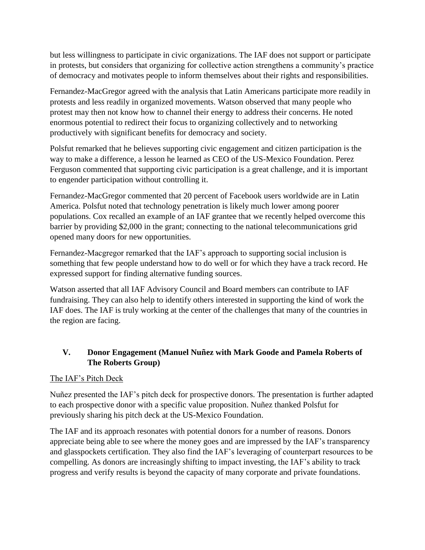but less willingness to participate in civic organizations. The IAF does not support or participate in protests, but considers that organizing for collective action strengthens a community's practice of democracy and motivates people to inform themselves about their rights and responsibilities.

Fernandez-MacGregor agreed with the analysis that Latin Americans participate more readily in protests and less readily in organized movements. Watson observed that many people who protest may then not know how to channel their energy to address their concerns. He noted enormous potential to redirect their focus to organizing collectively and to networking productively with significant benefits for democracy and society.

Polsfut remarked that he believes supporting civic engagement and citizen participation is the way to make a difference, a lesson he learned as CEO of the US-Mexico Foundation. Perez Ferguson commented that supporting civic participation is a great challenge, and it is important to engender participation without controlling it.

Fernandez-MacGregor commented that 20 percent of Facebook users worldwide are in Latin America. Polsfut noted that technology penetration is likely much lower among poorer populations. Cox recalled an example of an IAF grantee that we recently helped overcome this barrier by providing \$2,000 in the grant; connecting to the national telecommunications grid opened many doors for new opportunities.

Fernandez-Macgregor remarked that the IAF's approach to supporting social inclusion is something that few people understand how to do well or for which they have a track record. He expressed support for finding alternative funding sources.

Watson asserted that all IAF Advisory Council and Board members can contribute to IAF fundraising. They can also help to identify others interested in supporting the kind of work the IAF does. The IAF is truly working at the center of the challenges that many of the countries in the region are facing.

# **V. Donor Engagement (Manuel Nuñez with Mark Goode and Pamela Roberts of The Roberts Group)**

# The IAF's Pitch Deck

Nuñez presented the IAF's pitch deck for prospective donors. The presentation is further adapted to each prospective donor with a specific value proposition. Nuñez thanked Polsfut for previously sharing his pitch deck at the US-Mexico Foundation.

The IAF and its approach resonates with potential donors for a number of reasons. Donors appreciate being able to see where the money goes and are impressed by the IAF's transparency and glasspockets certification. They also find the IAF's leveraging of counterpart resources to be compelling. As donors are increasingly shifting to impact investing, the IAF's ability to track progress and verify results is beyond the capacity of many corporate and private foundations.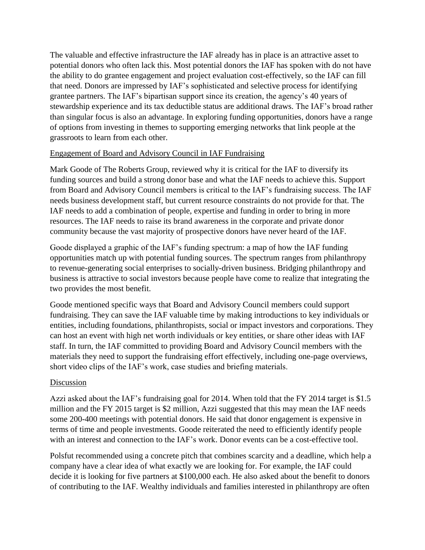The valuable and effective infrastructure the IAF already has in place is an attractive asset to potential donors who often lack this. Most potential donors the IAF has spoken with do not have the ability to do grantee engagement and project evaluation cost-effectively, so the IAF can fill that need. Donors are impressed by IAF's sophisticated and selective process for identifying grantee partners. The IAF's bipartisan support since its creation, the agency's 40 years of stewardship experience and its tax deductible status are additional draws. The IAF's broad rather than singular focus is also an advantage. In exploring funding opportunities, donors have a range of options from investing in themes to supporting emerging networks that link people at the grassroots to learn from each other.

### Engagement of Board and Advisory Council in IAF Fundraising

Mark Goode of The Roberts Group, reviewed why it is critical for the IAF to diversify its funding sources and build a strong donor base and what the IAF needs to achieve this. Support from Board and Advisory Council members is critical to the IAF's fundraising success. The IAF needs business development staff, but current resource constraints do not provide for that. The IAF needs to add a combination of people, expertise and funding in order to bring in more resources. The IAF needs to raise its brand awareness in the corporate and private donor community because the vast majority of prospective donors have never heard of the IAF.

Goode displayed a graphic of the IAF's funding spectrum: a map of how the IAF funding opportunities match up with potential funding sources. The spectrum ranges from philanthropy to revenue-generating social enterprises to socially-driven business. Bridging philanthropy and business is attractive to social investors because people have come to realize that integrating the two provides the most benefit.

Goode mentioned specific ways that Board and Advisory Council members could support fundraising. They can save the IAF valuable time by making introductions to key individuals or entities, including foundations, philanthropists, social or impact investors and corporations. They can host an event with high net worth individuals or key entities, or share other ideas with IAF staff. In turn, the IAF committed to providing Board and Advisory Council members with the materials they need to support the fundraising effort effectively, including one-page overviews, short video clips of the IAF's work, case studies and briefing materials.

# Discussion

Azzi asked about the IAF's fundraising goal for 2014. When told that the FY 2014 target is \$1.5 million and the FY 2015 target is \$2 million, Azzi suggested that this may mean the IAF needs some 200-400 meetings with potential donors. He said that donor engagement is expensive in terms of time and people investments. Goode reiterated the need to efficiently identify people with an interest and connection to the IAF's work. Donor events can be a cost-effective tool.

Polsfut recommended using a concrete pitch that combines scarcity and a deadline, which help a company have a clear idea of what exactly we are looking for. For example, the IAF could decide it is looking for five partners at \$100,000 each. He also asked about the benefit to donors of contributing to the IAF. Wealthy individuals and families interested in philanthropy are often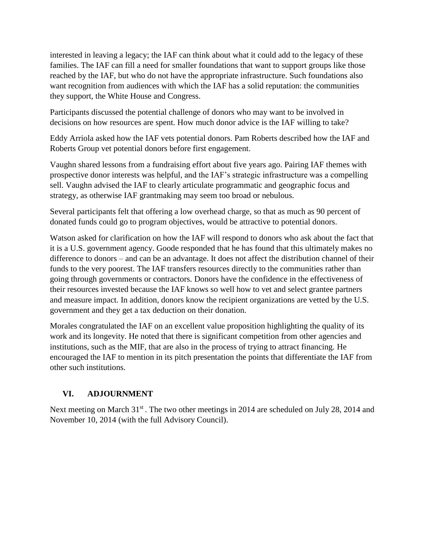interested in leaving a legacy; the IAF can think about what it could add to the legacy of these families. The IAF can fill a need for smaller foundations that want to support groups like those reached by the IAF, but who do not have the appropriate infrastructure. Such foundations also want recognition from audiences with which the IAF has a solid reputation: the communities they support, the White House and Congress.

Participants discussed the potential challenge of donors who may want to be involved in decisions on how resources are spent. How much donor advice is the IAF willing to take?

Eddy Arriola asked how the IAF vets potential donors. Pam Roberts described how the IAF and Roberts Group vet potential donors before first engagement.

Vaughn shared lessons from a fundraising effort about five years ago. Pairing IAF themes with prospective donor interests was helpful, and the IAF's strategic infrastructure was a compelling sell. Vaughn advised the IAF to clearly articulate programmatic and geographic focus and strategy, as otherwise IAF grantmaking may seem too broad or nebulous.

Several participants felt that offering a low overhead charge, so that as much as 90 percent of donated funds could go to program objectives, would be attractive to potential donors.

Watson asked for clarification on how the IAF will respond to donors who ask about the fact that it is a U.S. government agency. Goode responded that he has found that this ultimately makes no difference to donors – and can be an advantage. It does not affect the distribution channel of their funds to the very poorest. The IAF transfers resources directly to the communities rather than going through governments or contractors. Donors have the confidence in the effectiveness of their resources invested because the IAF knows so well how to vet and select grantee partners and measure impact. In addition, donors know the recipient organizations are vetted by the U.S. government and they get a tax deduction on their donation.

Morales congratulated the IAF on an excellent value proposition highlighting the quality of its work and its longevity. He noted that there is significant competition from other agencies and institutions, such as the MIF, that are also in the process of trying to attract financing. He encouraged the IAF to mention in its pitch presentation the points that differentiate the IAF from other such institutions.

# **VI. ADJOURNMENT**

Next meeting on March 31<sup>st</sup>. The two other meetings in 2014 are scheduled on July 28, 2014 and November 10, 2014 (with the full Advisory Council).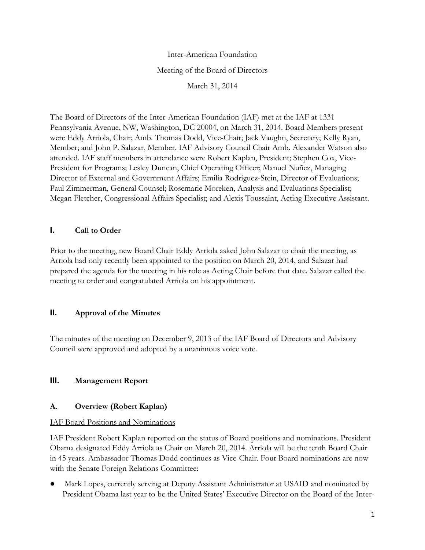Inter-American Foundation Meeting of the Board of Directors March 31, 2014

The Board of Directors of the Inter-American Foundation (IAF) met at the IAF at 1331 Pennsylvania Avenue, NW, Washington, DC 20004, on March 31, 2014. Board Members present were Eddy Arriola, Chair; Amb. Thomas Dodd, Vice-Chair; Jack Vaughn, Secretary; Kelly Ryan, Member; and John P. Salazar, Member. IAF Advisory Council Chair Amb. Alexander Watson also attended. IAF staff members in attendance were Robert Kaplan, President; Stephen Cox, Vice-President for Programs; Lesley Duncan, Chief Operating Officer; Manuel Nuñez, Managing Director of External and Government Affairs; Emilia Rodriguez-Stein, Director of Evaluations; Paul Zimmerman, General Counsel; Rosemarie Moreken, Analysis and Evaluations Specialist; Megan Fletcher, Congressional Affairs Specialist; and Alexis Toussaint, Acting Executive Assistant.

# **I. Call to Order**

Prior to the meeting, new Board Chair Eddy Arriola asked John Salazar to chair the meeting, as Arriola had only recently been appointed to the position on March 20, 2014, and Salazar had prepared the agenda for the meeting in his role as Acting Chair before that date. Salazar called the meeting to order and congratulated Arriola on his appointment.

# **II. Approval of the Minutes**

The minutes of the meeting on December 9, 2013 of the IAF Board of Directors and Advisory Council were approved and adopted by a unanimous voice vote.

# **III. Management Report**

# **A. Overview (Robert Kaplan)**

# IAF Board Positions and Nominations

IAF President Robert Kaplan reported on the status of Board positions and nominations. President Obama designated Eddy Arriola as Chair on March 20, 2014. Arriola will be the tenth Board Chair in 45 years. Ambassador Thomas Dodd continues as Vice-Chair. Four Board nominations are now with the Senate Foreign Relations Committee:

Mark Lopes, currently serving at Deputy Assistant Administrator at USAID and nominated by President Obama last year to be the United States' Executive Director on the Board of the Inter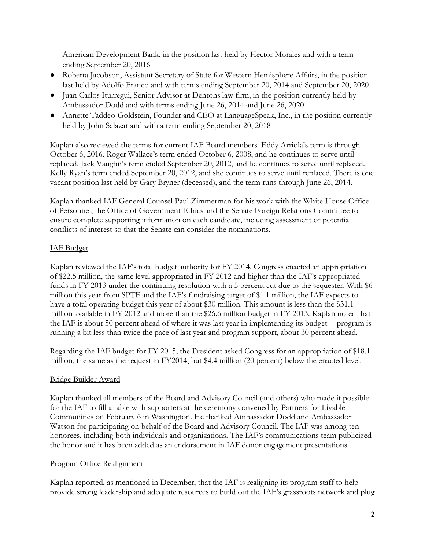American Development Bank, in the position last held by Hector Morales and with a term ending September 20, 2016

- Roberta Jacobson, Assistant Secretary of State for Western Hemisphere Affairs, in the position last held by Adolfo Franco and with terms ending September 20, 2014 and September 20, 2020
- Juan Carlos Iturregui, Senior Advisor at Dentons law firm, in the position currently held by Ambassador Dodd and with terms ending June 26, 2014 and June 26, 2020
- Annette Taddeo-Goldstein, Founder and CEO at LanguageSpeak, Inc., in the position currently held by John Salazar and with a term ending September 20, 2018

Kaplan also reviewed the terms for current IAF Board members. Eddy Arriola's term is through October 6, 2016. Roger Wallace's term ended October 6, 2008, and he continues to serve until replaced. Jack Vaughn's term ended September 20, 2012, and he continues to serve until replaced. Kelly Ryan's term ended September 20, 2012, and she continues to serve until replaced. There is one vacant position last held by Gary Bryner (deceased), and the term runs through June 26, 2014.

Kaplan thanked IAF General Counsel Paul Zimmerman for his work with the White House Office of Personnel, the Office of Government Ethics and the Senate Foreign Relations Committee to ensure complete supporting information on each candidate, including assessment of potential conflicts of interest so that the Senate can consider the nominations.

# IAF Budget

Kaplan reviewed the IAF's total budget authority for FY 2014. Congress enacted an appropriation of \$22.5 million, the same level appropriated in FY 2012 and higher than the IAF's appropriated funds in FY 2013 under the continuing resolution with a 5 percent cut due to the sequester. With \$6 million this year from SPTF and the IAF's fundraising target of \$1.1 million, the IAF expects to have a total operating budget this year of about \$30 million. This amount is less than the \$31.1 million available in FY 2012 and more than the \$26.6 million budget in FY 2013. Kaplan noted that the IAF is about 50 percent ahead of where it was last year in implementing its budget -- program is running a bit less than twice the pace of last year and program support, about 30 percent ahead.

Regarding the IAF budget for FY 2015, the President asked Congress for an appropriation of \$18.1 million, the same as the request in FY2014, but \$4.4 million (20 percent) below the enacted level.

#### Bridge Builder Award

Kaplan thanked all members of the Board and Advisory Council (and others) who made it possible for the IAF to fill a table with supporters at the ceremony convened by Partners for Livable Communities on February 6 in Washington. He thanked Ambassador Dodd and Ambassador Watson for participating on behalf of the Board and Advisory Council. The IAF was among ten honorees, including both individuals and organizations. The IAF's communications team publicized the honor and it has been added as an endorsement in IAF donor engagement presentations.

#### Program Office Realignment

Kaplan reported, as mentioned in December, that the IAF is realigning its program staff to help provide strong leadership and adequate resources to build out the IAF's grassroots network and plug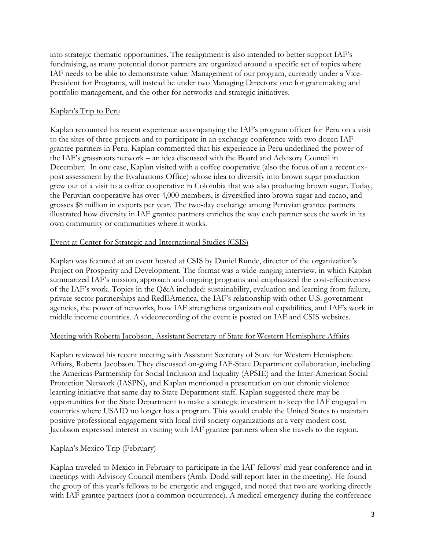into strategic thematic opportunities. The realignment is also intended to better support IAF's fundraising, as many potential donor partners are organized around a specific set of topics where IAF needs to be able to demonstrate value. Management of our program, currently under a Vice-President for Programs, will instead be under two Managing Directors: one for grantmaking and portfolio management, and the other for networks and strategic initiatives.

### Kaplan's Trip to Peru

Kaplan recounted his recent experience accompanying the IAF's program officer for Peru on a visit to the sites of three projects and to participate in an exchange conference with two dozen IAF grantee partners in Peru. Kaplan commented that his experience in Peru underlined the power of the IAF's grassroots network – an idea discussed with the Board and Advisory Council in December. In one case, Kaplan visited with a coffee cooperative (also the focus of an a recent expost assessment by the Evaluations Office) whose idea to diversify into brown sugar production grew out of a visit to a coffee cooperative in Colombia that was also producing brown sugar. Today, the Peruvian cooperative has over 4,000 members, is diversified into brown sugar and cacao, and grosses \$8 million in exports per year. The two-day exchange among Peruvian grantee partners illustrated how diversity in IAF grantee partners enriches the way each partner sees the work in its own community or communities where it works.

### Event at Center for Strategic and International Studies (CSIS)

Kaplan was featured at an event hosted at CSIS by Daniel Runde, director of the organization's Project on Prosperity and Development. The format was a wide-ranging interview, in which Kaplan summarized IAF's mission, approach and ongoing programs and emphasized the cost-effectiveness of the IAF's work. Topics in the Q&A included: sustainability, evaluation and learning from failure, private sector partnerships and RedEAmerica, the IAF's relationship with other U.S. government agencies, the power of networks, how IAF strengthens organizational capabilities, and IAF's work in middle income countries. A videorecording of the event is posted on IAF and CSIS websites.

#### Meeting with Roberta Jacobson, Assistant Secretary of State for Western Hemisphere Affairs

Kaplan reviewed his recent meeting with Assistant Secretary of State for Western Hemisphere Affairs, Roberta Jacobson. They discussed on-going IAF-State Department collaboration, including the Americas Partnership for Social Inclusion and Equality (APSIE) and the Inter-American Social Protection Network (IASPN), and Kaplan mentioned a presentation on our chronic violence learning initiative that same day to State Department staff. Kaplan suggested there may be opportunities for the State Department to make a strategic investment to keep the IAF engaged in countries where USAID no longer has a program. This would enable the United States to maintain positive professional engagement with local civil society organizations at a very modest cost. Jacobson expressed interest in visiting with IAF grantee partners when she travels to the region.

# Kaplan's Mexico Trip (February)

Kaplan traveled to Mexico in February to participate in the IAF fellows' mid-year conference and in meetings with Advisory Council members (Amb. Dodd will report later in the meeting). He found the group of this year's fellows to be energetic and engaged, and noted that two are working directly with IAF grantee partners (not a common occurrence). A medical emergency during the conference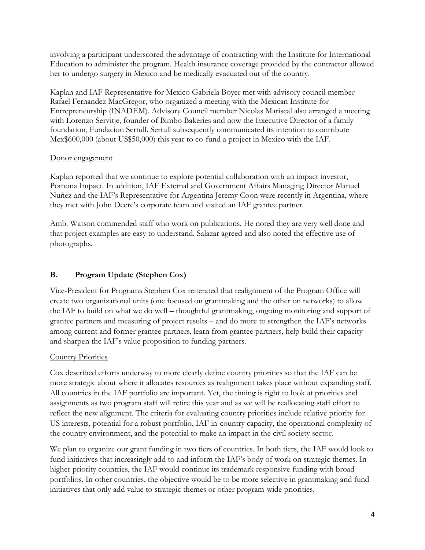involving a participant underscored the advantage of contracting with the Institute for International Education to administer the program. Health insurance coverage provided by the contractor allowed her to undergo surgery in Mexico and be medically evacuated out of the country.

Kaplan and IAF Representative for Mexico Gabriela Boyer met with advisory council member Rafael Fernandez MacGregor, who organized a meeting with the Mexican Institute for Entrepreneurship (INADEM). Advisory Council member Nicolas Mariscal also arranged a meeting with Lorenzo Servitje, founder of Bimbo Bakeries and now the Executive Director of a family foundation, Fundacion Sertull. Sertull subsequently communicated its intention to contribute Mex\$600,000 (about US\$50,000) this year to co-fund a project in Mexico with the IAF.

### Donor engagement

Kaplan reported that we continue to explore potential collaboration with an impact investor, Pomona Impact. In addition, IAF External and Government Affairs Managing Director Manuel Nuñez and the IAF's Representative for Argentina Jeremy Coon were recently in Argentina, where they met with John Deere's corporate team and visited an IAF grantee partner.

Amb. Watson commended staff who work on publications. He noted they are very well done and that project examples are easy to understand. Salazar agreed and also noted the effective use of photographs.

# **B. Program Update (Stephen Cox)**

Vice-President for Programs Stephen Cox reiterated that realignment of the Program Office will create two organizational units (one focused on grantmaking and the other on networks) to allow the IAF to build on what we do well – thoughtful grantmaking, ongoing monitoring and support of grantee partners and measuring of project results – and do more to strengthen the IAF's networks among current and former grantee partners, learn from grantee partners, help build their capacity and sharpen the IAF's value proposition to funding partners.

# Country Priorities

Cox described efforts underway to more clearly define country priorities so that the IAF can be more strategic about where it allocates resources as realignment takes place without expanding staff. All countries in the IAF portfolio are important. Yet, the timing is right to look at priorities and assignments as two program staff will retire this year and as we will be reallocating staff effort to reflect the new alignment. The criteria for evaluating country priorities include relative priority for US interests, potential for a robust portfolio, IAF in-country capacity, the operational complexity of the country environment, and the potential to make an impact in the civil society sector.

We plan to organize our grant funding in two tiers of countries. In both tiers, the IAF would look to fund initiatives that increasingly add to and inform the IAF's body of work on strategic themes. In higher priority countries, the IAF would continue its trademark responsive funding with broad portfolios. In other countries, the objective would be to be more selective in grantmaking and fund initiatives that only add value to strategic themes or other program-wide priorities.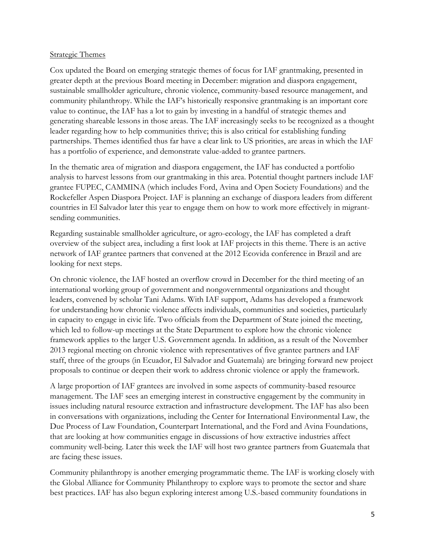#### Strategic Themes

Cox updated the Board on emerging strategic themes of focus for IAF grantmaking, presented in greater depth at the previous Board meeting in December: migration and diaspora engagement, sustainable smallholder agriculture, chronic violence, community-based resource management, and community philanthropy. While the IAF's historically responsive grantmaking is an important core value to continue, the IAF has a lot to gain by investing in a handful of strategic themes and generating shareable lessons in those areas. The IAF increasingly seeks to be recognized as a thought leader regarding how to help communities thrive; this is also critical for establishing funding partnerships. Themes identified thus far have a clear link to US priorities, are areas in which the IAF has a portfolio of experience, and demonstrate value-added to grantee partners.

In the thematic area of migration and diaspora engagement, the IAF has conducted a portfolio analysis to harvest lessons from our grantmaking in this area. Potential thought partners include IAF grantee FUPEC, CAMMINA (which includes Ford, Avina and Open Society Foundations) and the Rockefeller Aspen Diaspora Project. IAF is planning an exchange of diaspora leaders from different countries in El Salvador later this year to engage them on how to work more effectively in migrantsending communities.

Regarding sustainable smallholder agriculture, or agro-ecology, the IAF has completed a draft overview of the subject area, including a first look at IAF projects in this theme. There is an active network of IAF grantee partners that convened at the 2012 Ecovida conference in Brazil and are looking for next steps.

On chronic violence, the IAF hosted an overflow crowd in December for the third meeting of an international working group of government and nongovernmental organizations and thought leaders, convened by scholar Tani Adams. With IAF support, Adams has developed a framework for understanding how chronic violence affects individuals, communities and societies, particularly in capacity to engage in civic life. Two officials from the Department of State joined the meeting, which led to follow-up meetings at the State Department to explore how the chronic violence framework applies to the larger U.S. Government agenda. In addition, as a result of the November 2013 regional meeting on chronic violence with representatives of five grantee partners and IAF staff, three of the groups (in Ecuador, El Salvador and Guatemala) are bringing forward new project proposals to continue or deepen their work to address chronic violence or apply the framework.

A large proportion of IAF grantees are involved in some aspects of community-based resource management. The IAF sees an emerging interest in constructive engagement by the community in issues including natural resource extraction and infrastructure development. The IAF has also been in conversations with organizations, including the Center for International Environmental Law, the Due Process of Law Foundation, Counterpart International, and the Ford and Avina Foundations, that are looking at how communities engage in discussions of how extractive industries affect community well-being. Later this week the IAF will host two grantee partners from Guatemala that are facing these issues.

Community philanthropy is another emerging programmatic theme. The IAF is working closely with the Global Alliance for Community Philanthropy to explore ways to promote the sector and share best practices. IAF has also begun exploring interest among U.S.-based community foundations in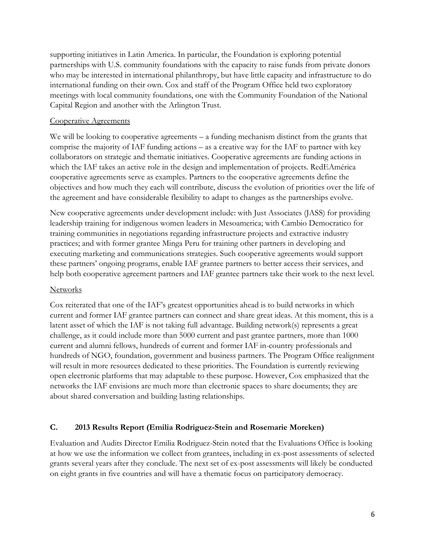supporting initiatives in Latin America. In particular, the Foundation is exploring potential partnerships with U.S. community foundations with the capacity to raise funds from private donors who may be interested in international philanthropy, but have little capacity and infrastructure to do international funding on their own. Cox and staff of the Program Office held two exploratory meetings with local community foundations, one with the Community Foundation of the National Capital Region and another with the Arlington Trust.

#### Cooperative Agreements

We will be looking to cooperative agreements – a funding mechanism distinct from the grants that comprise the majority of IAF funding actions – as a creative way for the IAF to partner with key collaborators on strategic and thematic initiatives. Cooperative agreements are funding actions in which the IAF takes an active role in the design and implementation of projects. RedEAmérica cooperative agreements serve as examples. Partners to the cooperative agreements define the objectives and how much they each will contribute, discuss the evolution of priorities over the life of the agreement and have considerable flexibility to adapt to changes as the partnerships evolve.

New cooperative agreements under development include: with Just Associates (JASS) for providing leadership training for indigenous women leaders in Mesoamerica; with Cambio Democratico for training communities in negotiations regarding infrastructure projects and extractive industry practices; and with former grantee Minga Peru for training other partners in developing and executing marketing and communications strategies. Such cooperative agreements would support these partners' ongoing programs, enable IAF grantee partners to better access their services, and help both cooperative agreement partners and IAF grantee partners take their work to the next level.

#### **Networks**

Cox reiterated that one of the IAF's greatest opportunities ahead is to build networks in which current and former IAF grantee partners can connect and share great ideas. At this moment, this is a latent asset of which the IAF is not taking full advantage. Building network(s) represents a great challenge, as it could include more than 5000 current and past grantee partners, more than 1000 current and alumni fellows, hundreds of current and former IAF in-country professionals and hundreds of NGO, foundation, government and business partners. The Program Office realignment will result in more resources dedicated to these priorities. The Foundation is currently reviewing open electronic platforms that may adaptable to these purpose. However, Cox emphasized that the networks the IAF envisions are much more than electronic spaces to share documents; they are about shared conversation and building lasting relationships.

# **C. 2013 Results Report (Emilia Rodriguez-Stein and Rosemarie Moreken)**

Evaluation and Audits Director Emilia Rodriguez-Stein noted that the Evaluations Office is looking at how we use the information we collect from grantees, including in ex-post assessments of selected grants several years after they conclude. The next set of ex-post assessments will likely be conducted on eight grants in five countries and will have a thematic focus on participatory democracy.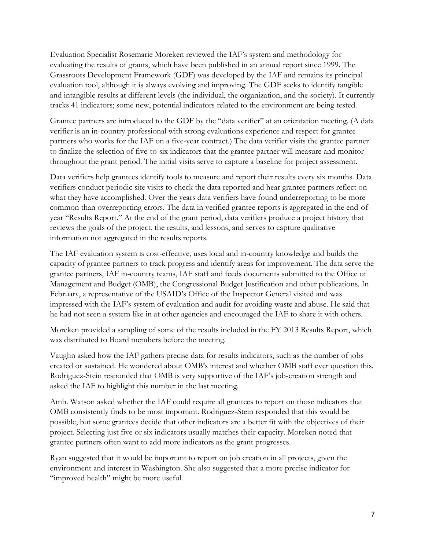Evaluation Specialist Rosemarie Moreken reviewed the IAF's system and methodology for evaluating the results of grants, which have been published in an annual report since 1999. The Grassroots Development Framework (GDF) was developed by the IAF and remains its principal evaluation tool, although it is always evolving and improving. The GDF seeks to identify tangible and intangible results at different levels (the individual, the organization, and the society). It currently tracks 41 indicators; some new, potential indicators related to the environment are being tested.

Grantee partners are introduced to the GDF by the "data verifier" at an orientation meeting. (A data verifier is an in-country professional with strong evaluations experience and respect for grantee partners who works for the IAF on a five-year contract.) The data verifier visits the grantee partner to finalize the selection of five-to-six indicators that the grantee partner will measure and monitor throughout the grant period. The initial visits serve to capture a baseline for project assessment.

Data verifiers help grantees identify tools to measure and report their results every six months. Data verifiers conduct periodic site visits to check the data reported and hear grantee partners reflect on what they have accomplished. Over the years data verifiers have found underreporting to be more common than overreporting errors. The data in verified grantee reports is aggregated in the end-ofyear "Results Report." At the end of the grant period, data verifiers produce a project history that reviews the goals of the project, the results, and lessons, and serves to capture qualitative information not aggregated in the results reports.

The IAF evaluation system is cost-effective, uses local and in-country knowledge and builds the capacity of grantee partners to track progress and identify areas for improvement. The data serve the grantee partners, IAF in-country teams, IAF staff and feeds documents submitted to the Office of Management and Budget (OMB), the Congressional Budget Justification and other publications. In February, a representative of the USAID's Office of the Inspector General visited and was impressed with the IAF's system of evaluation and audit for avoiding waste and abuse. He said that he had not seen a system like in at other agencies and encouraged the IAF to share it with others.

Moreken provided a sampling of some of the results included in the FY 2013 Results Report, which was distributed to Board members before the meeting.

Vaughn asked how the IAF gathers precise data for results indicators, such as the number of jobs created or sustained. He wondered about OMB's interest and whether OMB staff ever question this. Rodriguez-Stein responded that OMB is very supportive of the IAF's job-creation strength and asked the IAF to highlight this number in the last meeting.

Amb. Watson asked whether the IAF could require all grantees to report on those indicators that OMB consistently finds to be most important. Rodriguez-Stein responded that this would be possible, but some grantees decide that other indicators are a better fit with the objectives of their project. Selecting just five or six indicators usually matches their capacity. Moreken noted that grantee partners often want to add more indicators as the grant progresses.

Ryan suggested that it would be important to report on job creation in all projects, given the environment and interest in Washington. She also suggested that a more precise indicator for "improved health" might be more useful.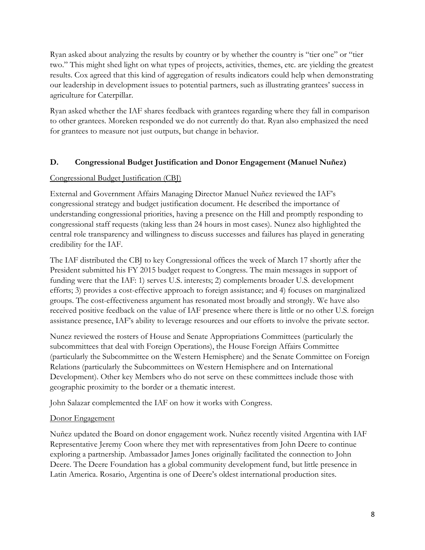Ryan asked about analyzing the results by country or by whether the country is "tier one" or "tier two." This might shed light on what types of projects, activities, themes, etc. are yielding the greatest results. Cox agreed that this kind of aggregation of results indicators could help when demonstrating our leadership in development issues to potential partners, such as illustrating grantees' success in agriculture for Caterpillar.

Ryan asked whether the IAF shares feedback with grantees regarding where they fall in comparison to other grantees. Moreken responded we do not currently do that. Ryan also emphasized the need for grantees to measure not just outputs, but change in behavior.

# **D. Congressional Budget Justification and Donor Engagement (Manuel Nuñez)**

# Congressional Budget Justification (CBJ)

External and Government Affairs Managing Director Manuel Nuñez reviewed the IAF's congressional strategy and budget justification document. He described the importance of understanding congressional priorities, having a presence on the Hill and promptly responding to congressional staff requests (taking less than 24 hours in most cases). Nunez also highlighted the central role transparency and willingness to discuss successes and failures has played in generating credibility for the IAF.

The IAF distributed the CBJ to key Congressional offices the week of March 17 shortly after the President submitted his FY 2015 budget request to Congress. The main messages in support of funding were that the IAF: 1) serves U.S. interests; 2) complements broader U.S. development efforts; 3) provides a cost-effective approach to foreign assistance; and 4) focuses on marginalized groups. The cost-effectiveness argument has resonated most broadly and strongly. We have also received positive feedback on the value of IAF presence where there is little or no other U.S. foreign assistance presence, IAF's ability to leverage resources and our efforts to involve the private sector.

Nunez reviewed the rosters of House and Senate Appropriations Committees (particularly the subcommittees that deal with Foreign Operations), the House Foreign Affairs Committee (particularly the Subcommittee on the Western Hemisphere) and the Senate Committee on Foreign Relations (particularly the Subcommittees on Western Hemisphere and on International Development). Other key Members who do not serve on these committees include those with geographic proximity to the border or a thematic interest.

John Salazar complemented the IAF on how it works with Congress.

# Donor Engagement

Nuñez updated the Board on donor engagement work. Nuñez recently visited Argentina with IAF Representative Jeremy Coon where they met with representatives from John Deere to continue exploring a partnership. Ambassador James Jones originally facilitated the connection to John Deere. The Deere Foundation has a global community development fund, but little presence in Latin America. Rosario, Argentina is one of Deere's oldest international production sites.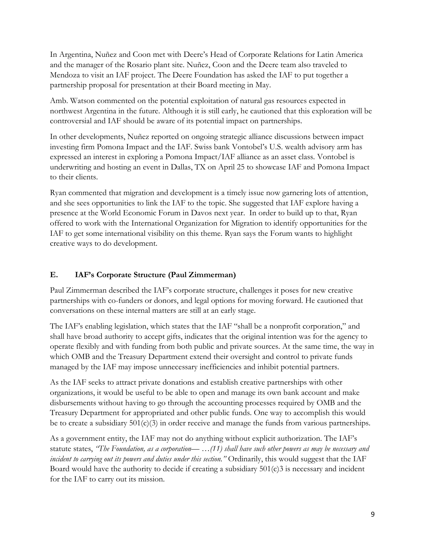In Argentina, Nuñez and Coon met with Deere's Head of Corporate Relations for Latin America and the manager of the Rosario plant site. Nuñez, Coon and the Deere team also traveled to Mendoza to visit an IAF project. The Deere Foundation has asked the IAF to put together a partnership proposal for presentation at their Board meeting in May.

Amb. Watson commented on the potential exploitation of natural gas resources expected in northwest Argentina in the future. Although it is still early, he cautioned that this exploration will be controversial and IAF should be aware of its potential impact on partnerships.

In other developments, Nuñez reported on ongoing strategic alliance discussions between impact investing firm Pomona Impact and the IAF. Swiss bank Vontobel's U.S. wealth advisory arm has expressed an interest in exploring a Pomona Impact/IAF alliance as an asset class. Vontobel is underwriting and hosting an event in Dallas, TX on April 25 to showcase IAF and Pomona Impact to their clients.

Ryan commented that migration and development is a timely issue now garnering lots of attention, and she sees opportunities to link the IAF to the topic. She suggested that IAF explore having a presence at the World Economic Forum in Davos next year. In order to build up to that, Ryan offered to work with the International Organization for Migration to identify opportunities for the IAF to get some international visibility on this theme. Ryan says the Forum wants to highlight creative ways to do development.

# **E. IAF's Corporate Structure (Paul Zimmerman)**

Paul Zimmerman described the IAF's corporate structure, challenges it poses for new creative partnerships with co-funders or donors, and legal options for moving forward. He cautioned that conversations on these internal matters are still at an early stage.

The IAF's enabling legislation, which states that the IAF "shall be a nonprofit corporation," and shall have broad authority to accept gifts, indicates that the original intention was for the agency to operate flexibly and with funding from both public and private sources. At the same time, the way in which OMB and the Treasury Department extend their oversight and control to private funds managed by the IAF may impose unnecessary inefficiencies and inhibit potential partners.

As the IAF seeks to attract private donations and establish creative partnerships with other organizations, it would be useful to be able to open and manage its own bank account and make disbursements without having to go through the accounting processes required by OMB and the Treasury Department for appropriated and other public funds. One way to accomplish this would be to create a subsidiary  $501(c)(3)$  in order receive and manage the funds from various partnerships.

As a government entity, the IAF may not do anything without explicit authorization. The IAF's statute states, *"The Foundation, as a corporation— …(11) shall have such other powers as may be necessary and incident to carrying out its powers and duties under this section."* Ordinarily, this would suggest that the IAF Board would have the authority to decide if creating a subsidiary 501(c)3 is necessary and incident for the IAF to carry out its mission.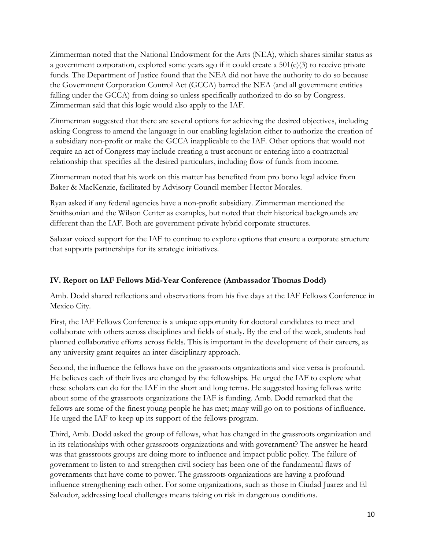Zimmerman noted that the National Endowment for the Arts (NEA), which shares similar status as a government corporation, explored some years ago if it could create a 501(c)(3) to receive private funds. The Department of Justice found that the NEA did not have the authority to do so because the Government Corporation Control Act (GCCA) barred the NEA (and all government entities falling under the GCCA) from doing so unless specifically authorized to do so by Congress. Zimmerman said that this logic would also apply to the IAF.

Zimmerman suggested that there are several options for achieving the desired objectives, including asking Congress to amend the language in our enabling legislation either to authorize the creation of a subsidiary non-profit or make the GCCA inapplicable to the IAF. Other options that would not require an act of Congress may include creating a trust account or entering into a contractual relationship that specifies all the desired particulars, including flow of funds from income.

Zimmerman noted that his work on this matter has benefited from pro bono legal advice from Baker & MacKenzie, facilitated by Advisory Council member Hector Morales.

Ryan asked if any federal agencies have a non-profit subsidiary. Zimmerman mentioned the Smithsonian and the Wilson Center as examples, but noted that their historical backgrounds are different than the IAF. Both are government-private hybrid corporate structures.

Salazar voiced support for the IAF to continue to explore options that ensure a corporate structure that supports partnerships for its strategic initiatives.

# **IV. Report on IAF Fellows Mid-Year Conference (Ambassador Thomas Dodd)**

Amb. Dodd shared reflections and observations from his five days at the IAF Fellows Conference in Mexico City.

First, the IAF Fellows Conference is a unique opportunity for doctoral candidates to meet and collaborate with others across disciplines and fields of study. By the end of the week, students had planned collaborative efforts across fields. This is important in the development of their careers, as any university grant requires an inter-disciplinary approach.

Second, the influence the fellows have on the grassroots organizations and vice versa is profound. He believes each of their lives are changed by the fellowships. He urged the IAF to explore what these scholars can do for the IAF in the short and long terms. He suggested having fellows write about some of the grassroots organizations the IAF is funding. Amb. Dodd remarked that the fellows are some of the finest young people he has met; many will go on to positions of influence. He urged the IAF to keep up its support of the fellows program.

Third, Amb. Dodd asked the group of fellows, what has changed in the grassroots organization and in its relationships with other grassroots organizations and with government? The answer he heard was that grassroots groups are doing more to influence and impact public policy. The failure of government to listen to and strengthen civil society has been one of the fundamental flaws of governments that have come to power. The grassroots organizations are having a profound influence strengthening each other. For some organizations, such as those in Ciudad Juarez and El Salvador, addressing local challenges means taking on risk in dangerous conditions.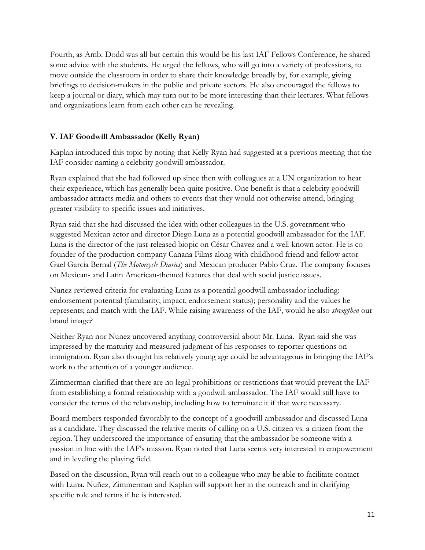Fourth, as Amb. Dodd was all but certain this would be his last IAF Fellows Conference, he shared some advice with the students. He urged the fellows, who will go into a variety of professions, to move outside the classroom in order to share their knowledge broadly by, for example, giving briefings to decision-makers in the public and private sectors. He also encouraged the fellows to keep a journal or diary, which may turn out to be more interesting than their lectures. What fellows and organizations learn from each other can be revealing.

# **V. IAF Goodwill Ambassador (Kelly Ryan)**

Kaplan introduced this topic by noting that Kelly Ryan had suggested at a previous meeting that the IAF consider naming a celebrity goodwill ambassador.

Ryan explained that she had followed up since then with colleagues at a UN organization to hear their experience, which has generally been quite positive. One benefit is that a celebrity goodwill ambassador attracts media and others to events that they would not otherwise attend, bringing greater visibility to specific issues and initiatives.

Ryan said that she had discussed the idea with other colleagues in the U.S. government who suggested Mexican actor and director Diego Luna as a potential goodwill ambassador for the IAF. Luna is the director of the just-released biopic on César Chavez and a well-known actor. He is cofounder of the production company Canana Films along with childhood friend and fellow actor Gael Garcia Bernal (*The Motorcycle Diaries*) and Mexican producer Pablo Cruz. The company focuses on Mexican- and Latin American-themed features that deal with social justice issues.

Nunez reviewed criteria for evaluating Luna as a potential goodwill ambassador including: endorsement potential (familiarity, impact, endorsement status); personality and the values he represents; and match with the IAF. While raising awareness of the IAF, would he also *strengthen* our brand image?

Neither Ryan nor Nunez uncovered anything controversial about Mr. Luna. Ryan said she was impressed by the maturity and measured judgment of his responses to reporter questions on immigration. Ryan also thought his relatively young age could be advantageous in bringing the IAF's work to the attention of a younger audience.

Zimmerman clarified that there are no legal prohibitions or restrictions that would prevent the IAF from establishing a formal relationship with a goodwill ambassador. The IAF would still have to consider the terms of the relationship, including how to terminate it if that were necessary.

Board members responded favorably to the concept of a goodwill ambassador and discussed Luna as a candidate. They discussed the relative merits of calling on a U.S. citizen vs. a citizen from the region. They underscored the importance of ensuring that the ambassador be someone with a passion in line with the IAF's mission. Ryan noted that Luna seems very interested in empowerment and in leveling the playing field.

Based on the discussion, Ryan will reach out to a colleague who may be able to facilitate contact with Luna. Nuñez, Zimmerman and Kaplan will support her in the outreach and in clarifying specific role and terms if he is interested.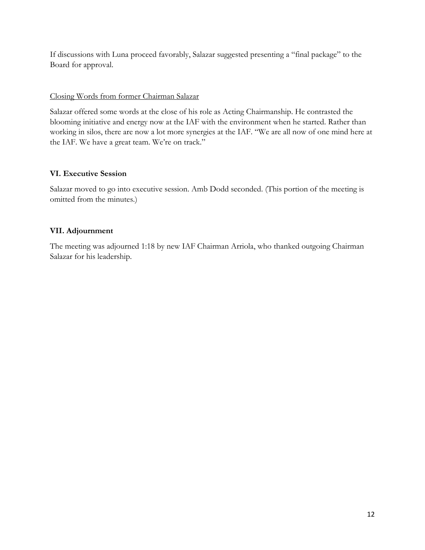If discussions with Luna proceed favorably, Salazar suggested presenting a "final package" to the Board for approval.

#### Closing Words from former Chairman Salazar

Salazar offered some words at the close of his role as Acting Chairmanship. He contrasted the blooming initiative and energy now at the IAF with the environment when he started. Rather than working in silos, there are now a lot more synergies at the IAF. "We are all now of one mind here at the IAF. We have a great team. We're on track."

# **VI. Executive Session**

Salazar moved to go into executive session. Amb Dodd seconded. (This portion of the meeting is omitted from the minutes.)

# **VII. Adjournment**

The meeting was adjourned 1:18 by new IAF Chairman Arriola, who thanked outgoing Chairman Salazar for his leadership.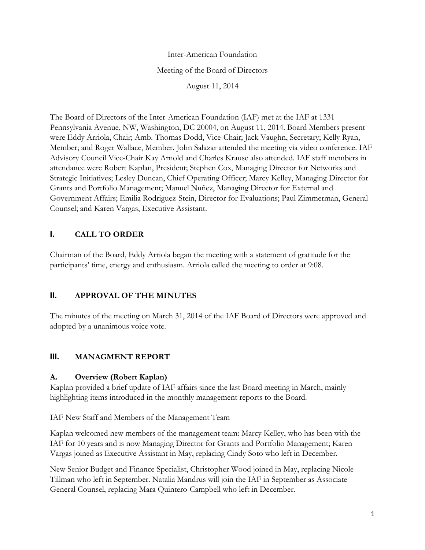Inter-American Foundation Meeting of the Board of Directors August 11, 2014

The Board of Directors of the Inter-American Foundation (IAF) met at the IAF at 1331 Pennsylvania Avenue, NW, Washington, DC 20004, on August 11, 2014. Board Members present were Eddy Arriola, Chair; Amb. Thomas Dodd, Vice-Chair; Jack Vaughn, Secretary; Kelly Ryan, Member; and Roger Wallace, Member. John Salazar attended the meeting via video conference. IAF Advisory Council Vice-Chair Kay Arnold and Charles Krause also attended. IAF staff members in attendance were Robert Kaplan, President; Stephen Cox, Managing Director for Networks and Strategic Initiatives; Lesley Duncan, Chief Operating Officer; Marcy Kelley, Managing Director for Grants and Portfolio Management; Manuel Nuñez, Managing Director for External and Government Affairs; Emilia Rodriguez-Stein, Director for Evaluations; Paul Zimmerman, General Counsel; and Karen Vargas, Executive Assistant.

# **I. CALL TO ORDER**

Chairman of the Board, Eddy Arriola began the meeting with a statement of gratitude for the participants' time, energy and enthusiasm. Arriola called the meeting to order at 9:08.

# **II. APPROVAL OF THE MINUTES**

The minutes of the meeting on March 31, 2014 of the IAF Board of Directors were approved and adopted by a unanimous voice vote.

# **III. MANAGMENT REPORT**

# **A. Overview (Robert Kaplan)**

Kaplan provided a brief update of IAF affairs since the last Board meeting in March, mainly highlighting items introduced in the monthly management reports to the Board.

# IAF New Staff and Members of the Management Team

Kaplan welcomed new members of the management team: Marcy Kelley, who has been with the IAF for 10 years and is now Managing Director for Grants and Portfolio Management; Karen Vargas joined as Executive Assistant in May, replacing Cindy Soto who left in December.

New Senior Budget and Finance Specialist, Christopher Wood joined in May, replacing Nicole Tillman who left in September. Natalia Mandrus will join the IAF in September as Associate General Counsel, replacing Mara Quintero-Campbell who left in December.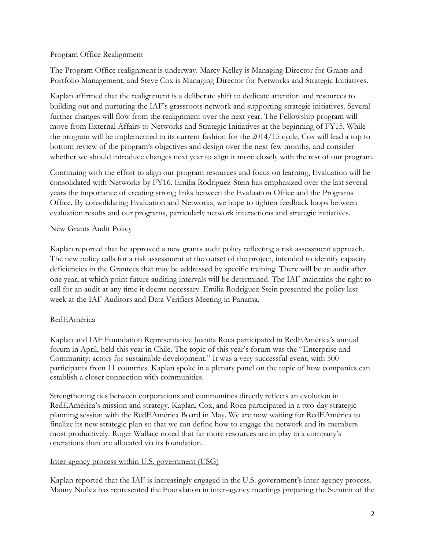#### Program Office Realignment

The Program Office realignment is underway. Marcy Kelley is Managing Director for Grants and Portfolio Management, and Steve Cox is Managing Director for Networks and Strategic Initiatives.

Kaplan affirmed that the realignment is a deliberate shift to dedicate attention and resources to building out and nurturing the IAF's grassroots network and supporting strategic initiatives. Several further changes will flow from the realignment over the next year. The Fellowship program will move from External Affairs to Networks and Strategic Initiatives at the beginning of FY15. While the program will be implemented in its current fashion for the 2014/15 cycle, Cox will lead a top to bottom review of the program's objectives and design over the next few months, and consider whether we should introduce changes next year to align it more closely with the rest of our program.

Continuing with the effort to align our program resources and focus on learning, Evaluation will be consolidated with Networks by FY16. Emilia Rodriguez-Stein has emphasized over the last several years the importance of creating strong links between the Evaluation Office and the Programs Office. By consolidating Evaluation and Networks, we hope to tighten feedback loops between evaluation results and our programs, particularly network interactions and strategic initiatives.

### New Grants Audit Policy

Kaplan reported that he approved a new grants audit policy reflecting a risk assessment approach. The new policy calls for a risk assessment at the outset of the project, intended to identify capacity deficiencies in the Grantees that may be addressed by specific training. There will be an audit after one year, at which point future auditing intervals will be determined. The IAF maintains the right to call for an audit at any time it deems necessary. Emilia Rodriguez-Stein presented the policy last week at the IAF Auditors and Data Verifiers Meeting in Panama.

# **RedEAmérica**

Kaplan and IAF Foundation Representative Juanita Roca participated in RedEAmérica's annual forum in April, held this year in Chile. The topic of this year's forum was the "Enterprise and Community: actors for sustainable development." It was a very successful event, with 500 participants from 11 countries. Kaplan spoke in a plenary panel on the topic of how companies can establish a closer connection with communities.

Strengthening ties between corporations and communities directly reflects an evolution in RedEAmérica's mission and strategy. Kaplan, Cox, and Roca participated in a two-day strategic planning session with the RedEAmérica Board in May. We are now waiting for RedEAmérica to finalize its new strategic plan so that we can define how to engage the network and its members most productively. Roger Wallace noted that far more resources are in play in a company's operations than are allocated via its foundation.

#### Inter-agency process within U.S. government (USG)

Kaplan reported that the IAF is increasingly engaged in the U.S. government's inter-agency process. Manny Nuñez has represented the Foundation in inter-agency meetings preparing the Summit of the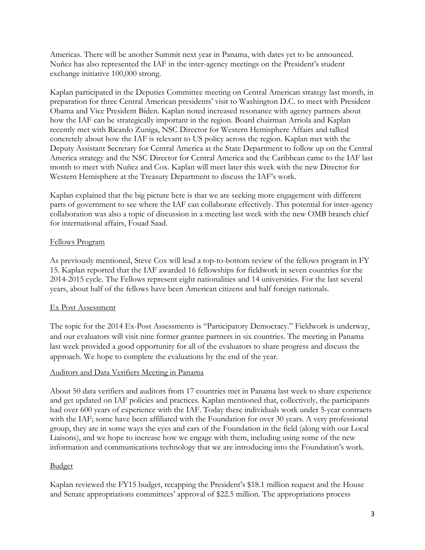Americas. There will be another Summit next year in Panama, with dates yet to be announced. Nuñez has also represented the IAF in the inter-agency meetings on the President's student exchange initiative 100,000 strong.

Kaplan participated in the Deputies Committee meeting on Central American strategy last month, in preparation for three Central American presidents' visit to Washington D.C. to meet with President Obama and Vice President Biden. Kaplan noted increased resonance with agency partners about how the IAF can be strategically important in the region. Board chairman Arriola and Kaplan recently met with Ricardo Zuniga, NSC Director for Western Hemisphere Affairs and talked concretely about how the IAF is relevant to US policy across the region. Kaplan met with the Deputy Assistant Secretary for Central America at the State Department to follow up on the Central America strategy and the NSC Director for Central America and the Caribbean came to the IAF last month to meet with Nuñez and Cox. Kaplan will meet later this week with the new Director for Western Hemisphere at the Treasury Department to discuss the IAF's work.

Kaplan explained that the big picture here is that we are seeking more engagement with different parts of government to see where the IAF can collaborate effectively. This potential for inter-agency collaboration was also a topic of discussion in a meeting last week with the new OMB branch chief for international affairs, Fouad Saad.

#### Fellows Program

As previously mentioned, Steve Cox will lead a top-to-bottom review of the fellows program in FY 15. Kaplan reported that the IAF awarded 16 fellowships for fieldwork in seven countries for the 2014-2015 cycle. The Fellows represent eight nationalities and 14 universities. For the last several years, about half of the fellows have been American citizens and half foreign nationals.

# Ex Post Assessment

The topic for the 2014 Ex-Post Assessments is "Participatory Democracy." Fieldwork is underway, and our evaluators will visit nine former grantee partners in six countries. The meeting in Panama last week provided a good opportunity for all of the evaluators to share progress and discuss the approach. We hope to complete the evaluations by the end of the year.

#### Auditors and Data Verifiers Meeting in Panama

About 50 data verifiers and auditors from 17 countries met in Panama last week to share experience and get updated on IAF policies and practices. Kaplan mentioned that, collectively, the participants had over 600 years of experience with the IAF. Today these individuals work under 5-year contracts with the IAF; some have been affiliated with the Foundation for over 30 years. A very professional group, they are in some ways the eyes and ears of the Foundation in the field (along with our Local Liaisons), and we hope to increase how we engage with them, including using some of the new information and communications technology that we are introducing into the Foundation's work.

#### Budget

Kaplan reviewed the FY15 budget, recapping the President's \$18.1 million request and the House and Senate appropriations committees' approval of \$22.5 million. The appropriations process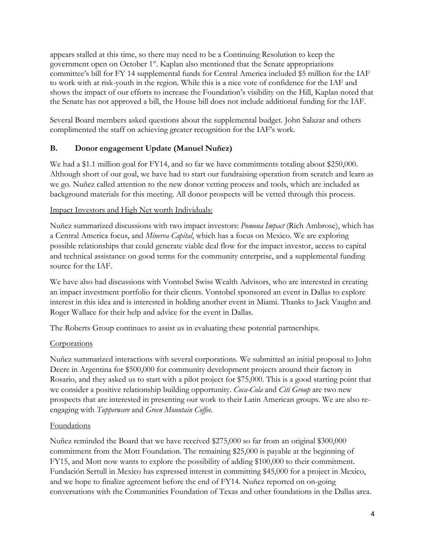appears stalled at this time, so there may need to be a Continuing Resolution to keep the government open on October 1st. Kaplan also mentioned that the Senate appropriations committee's bill for FY 14 supplemental funds for Central America included \$5 million for the IAF to work with at risk-youth in the region. While this is a nice vote of confidence for the IAF and shows the impact of our efforts to increase the Foundation's visibility on the Hill, Kaplan noted that the Senate has not approved a bill, the House bill does not include additional funding for the IAF.

Several Board members asked questions about the supplemental budget. John Salazar and others complimented the staff on achieving greater recognition for the IAF's work.

# **B. Donor engagement Update (Manuel Nuñez)**

We had a \$1.1 million goal for FY14, and so far we have commitments totaling about \$250,000. Although short of our goal, we have had to start our fundraising operation from scratch and learn as we go. Nuñez called attention to the new donor vetting process and tools, which are included as background materials for this meeting. All donor prospects will be vetted through this process.

# Impact Investors and High Net worth Individuals:

Nuñez summarized discussions with two impact investors: *Pomona Impact* (Rich Ambrose), which has a Central America focus, and *Minerva Capital*, which has a focus on Mexico. We are exploring possible relationships that could generate viable deal flow for the impact investor, access to capital and technical assistance on good terms for the community enterprise, and a supplemental funding source for the IAF.

We have also had discussions with Vontobel Swiss Wealth Advisors, who are interested in creating an impact investment portfolio for their clients. Vontobel sponsored an event in Dallas to explore interest in this idea and is interested in holding another event in Miami. Thanks to Jack Vaughn and Roger Wallace for their help and advice for the event in Dallas.

The Roberts Group continues to assist us in evaluating these potential partnerships.

#### **Corporations**

Nuñez summarized interactions with several corporations. We submitted an initial proposal to John Deere in Argentina for \$500,000 for community development projects around their factory in Rosario, and they asked us to start with a pilot project for \$75,000. This is a good starting point that we consider a positive relationship building opportunity. *Coca-Cola* and *Citi Group* are two new prospects that are interested in presenting our work to their Latin American groups. We are also reengaging with *Tupperware* and *Green Mountain Coffee.*

#### Foundations

Nuñez reminded the Board that we have received \$275,000 so far from an original \$300,000 commitment from the Mott Foundation. The remaining \$25,000 is payable at the beginning of FY15, and Mott now wants to explore the possibility of adding \$100,000 to their commitment. Fundación Sertull in Mexico has expressed interest in committing \$45,000 for a project in Mexico, and we hope to finalize agreement before the end of FY14. Nuñez reported on on-going conversations with the Communities Foundation of Texas and other foundations in the Dallas area.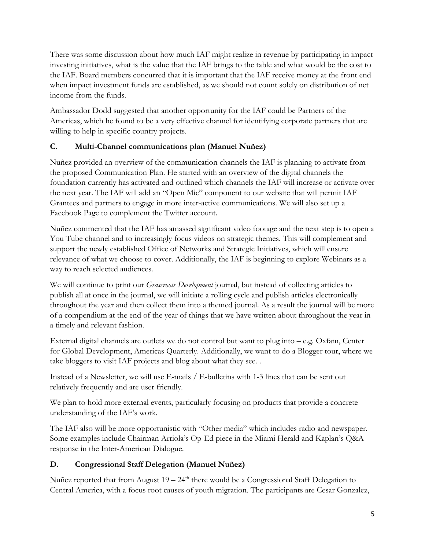There was some discussion about how much IAF might realize in revenue by participating in impact investing initiatives, what is the value that the IAF brings to the table and what would be the cost to the IAF. Board members concurred that it is important that the IAF receive money at the front end when impact investment funds are established, as we should not count solely on distribution of net income from the funds.

Ambassador Dodd suggested that another opportunity for the IAF could be Partners of the Americas, which he found to be a very effective channel for identifying corporate partners that are willing to help in specific country projects.

# **C. Multi-Channel communications plan (Manuel Nuñez)**

Nuñez provided an overview of the communication channels the IAF is planning to activate from the proposed Communication Plan. He started with an overview of the digital channels the foundation currently has activated and outlined which channels the IAF will increase or activate over the next year. The IAF will add an "Open Mic" component to our website that will permit IAF Grantees and partners to engage in more inter-active communications. We will also set up a Facebook Page to complement the Twitter account.

Nuñez commented that the IAF has amassed significant video footage and the next step is to open a You Tube channel and to increasingly focus videos on strategic themes. This will complement and support the newly established Office of Networks and Strategic Initiatives, which will ensure relevance of what we choose to cover. Additionally, the IAF is beginning to explore Webinars as a way to reach selected audiences.

We will continue to print our *Grassroots Development* journal, but instead of collecting articles to publish all at once in the journal, we will initiate a rolling cycle and publish articles electronically throughout the year and then collect them into a themed journal. As a result the journal will be more of a compendium at the end of the year of things that we have written about throughout the year in a timely and relevant fashion.

External digital channels are outlets we do not control but want to plug into – e.g. Oxfam, Center for Global Development, Americas Quarterly. Additionally, we want to do a Blogger tour, where we take bloggers to visit IAF projects and blog about what they see. .

Instead of a Newsletter, we will use E-mails / E-bulletins with 1-3 lines that can be sent out relatively frequently and are user friendly.

We plan to hold more external events, particularly focusing on products that provide a concrete understanding of the IAF's work.

The IAF also will be more opportunistic with "Other media" which includes radio and newspaper. Some examples include Chairman Arriola's Op-Ed piece in the Miami Herald and Kaplan's Q&A response in the Inter-American Dialogue.

# **D. Congressional Staff Delegation (Manuel Nuñez)**

Nuñez reported that from August  $19 - 24<sup>th</sup>$  there would be a Congressional Staff Delegation to Central America, with a focus root causes of youth migration. The participants are Cesar Gonzalez,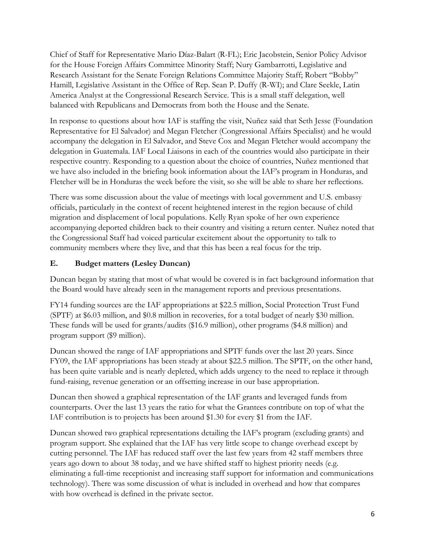Chief of Staff for Representative Mario Díaz-Balart (R-FL); Eric Jacobstein, Senior Policy Advisor for the House Foreign Affairs Committee Minority Staff; Nury Gambarrotti, Legislative and Research Assistant for the Senate Foreign Relations Committee Majority Staff; Robert "Bobby" Hamill, Legislative Assistant in the Office of Rep. Sean P. Duffy (R-WI); and Clare Seekle, Latin America Analyst at the Congressional Research Service. This is a small staff delegation, well balanced with Republicans and Democrats from both the House and the Senate.

In response to questions about how IAF is staffing the visit, Nuñez said that Seth Jesse (Foundation Representative for El Salvador) and Megan Fletcher (Congressional Affairs Specialist) and he would accompany the delegation in El Salvador, and Steve Cox and Megan Fletcher would accompany the delegation in Guatemala. IAF Local Liaisons in each of the countries would also participate in their respective country. Responding to a question about the choice of countries, Nuñez mentioned that we have also included in the briefing book information about the IAF's program in Honduras, and Fletcher will be in Honduras the week before the visit, so she will be able to share her reflections.

There was some discussion about the value of meetings with local government and U.S. embassy officials, particularly in the context of recent heightened interest in the region because of child migration and displacement of local populations. Kelly Ryan spoke of her own experience accompanying deported children back to their country and visiting a return center. Nuñez noted that the Congressional Staff had voiced particular excitement about the opportunity to talk to community members where they live, and that this has been a real focus for the trip.

# **E. Budget matters (Lesley Duncan)**

Duncan began by stating that most of what would be covered is in fact background information that the Board would have already seen in the management reports and previous presentations.

FY14 funding sources are the IAF appropriations at \$22.5 million, Social Protection Trust Fund (SPTF) at \$6.03 million, and \$0.8 million in recoveries, for a total budget of nearly \$30 million. These funds will be used for grants/audits (\$16.9 million), other programs (\$4.8 million) and program support (\$9 million).

Duncan showed the range of IAF appropriations and SPTF funds over the last 20 years. Since FY09, the IAF appropriations has been steady at about \$22.5 million. The SPTF, on the other hand, has been quite variable and is nearly depleted, which adds urgency to the need to replace it through fund-raising, revenue generation or an offsetting increase in our base appropriation.

Duncan then showed a graphical representation of the IAF grants and leveraged funds from counterparts. Over the last 13 years the ratio for what the Grantees contribute on top of what the IAF contribution is to projects has been around \$1.30 for every \$1 from the IAF.

Duncan showed two graphical representations detailing the IAF's program (excluding grants) and program support. She explained that the IAF has very little scope to change overhead except by cutting personnel. The IAF has reduced staff over the last few years from 42 staff members three years ago down to about 38 today, and we have shifted staff to highest priority needs (e.g. eliminating a full-time receptionist and increasing staff support for information and communications technology). There was some discussion of what is included in overhead and how that compares with how overhead is defined in the private sector.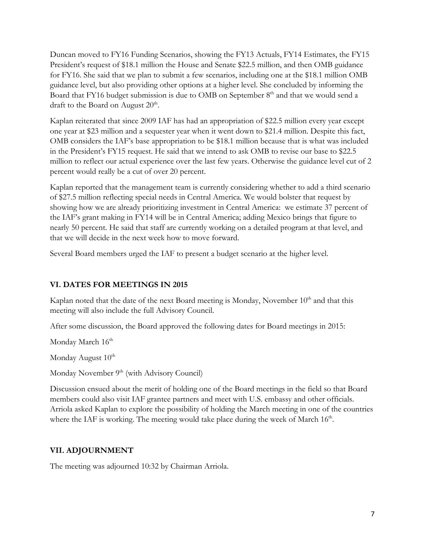Duncan moved to FY16 Funding Scenarios, showing the FY13 Actuals, FY14 Estimates, the FY15 President's request of \$18.1 million the House and Senate \$22.5 million, and then OMB guidance for FY16. She said that we plan to submit a few scenarios, including one at the \$18.1 million OMB guidance level, but also providing other options at a higher level. She concluded by informing the Board that FY16 budget submission is due to OMB on September  $8<sup>th</sup>$  and that we would send a draft to the Board on August  $20<sup>th</sup>$ .

Kaplan reiterated that since 2009 IAF has had an appropriation of \$22.5 million every year except one year at \$23 million and a sequester year when it went down to \$21.4 million. Despite this fact, OMB considers the IAF's base appropriation to be \$18.1 million because that is what was included in the President's FY15 request. He said that we intend to ask OMB to revise our base to \$22.5 million to reflect our actual experience over the last few years. Otherwise the guidance level cut of 2 percent would really be a cut of over 20 percent.

Kaplan reported that the management team is currently considering whether to add a third scenario of \$27.5 million reflecting special needs in Central America. We would bolster that request by showing how we are already prioritizing investment in Central America: we estimate 37 percent of the IAF's grant making in FY14 will be in Central America; adding Mexico brings that figure to nearly 50 percent. He said that staff are currently working on a detailed program at that level, and that we will decide in the next week how to move forward.

Several Board members urged the IAF to present a budget scenario at the higher level.

# **VI. DATES FOR MEETINGS IN 2015**

Kaplan noted that the date of the next Board meeting is Monday, November  $10<sup>th</sup>$  and that this meeting will also include the full Advisory Council.

After some discussion, the Board approved the following dates for Board meetings in 2015:

Monday March 16<sup>th</sup>

Monday August  $10^{th}$ 

Monday November 9<sup>th</sup> (with Advisory Council)

Discussion ensued about the merit of holding one of the Board meetings in the field so that Board members could also visit IAF grantee partners and meet with U.S. embassy and other officials. Arriola asked Kaplan to explore the possibility of holding the March meeting in one of the countries where the IAF is working. The meeting would take place during the week of March  $16<sup>th</sup>$ .

# **VII. ADJOURNMENT**

The meeting was adjourned 10:32 by Chairman Arriola.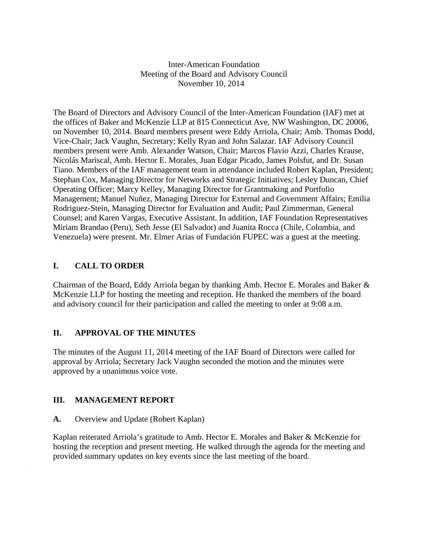Inter-American Foundation Meeting of the Board and Advisory Council November 10, 2014

The Board of Directors and Advisory Council of the Inter-American Foundation (IAF) met at the offices of Baker and McKenzie LLP at 815 Connecticut Ave, NW Washington, DC 20006, on November 10, 2014. Board members present were Eddy Arriola, Chair; Amb. Thomas Dodd, Vice-Chair; Jack Vaughn, Secretary; Kelly Ryan and John Salazar. IAF Advisory Council members present were Amb. Alexander Watson, Chair; Marcos Flavio Azzi, Charles Krause, Nicolás Mariscal, Amb. Hector E. Morales, Juan Edgar Picado, James Polsfut, and Dr. Susan Tiano. Members of the IAF management team in attendance included Robert Kaplan, President; Stephan Cox, Managing Director for Networks and Strategic Initiatives; Lesley Duncan, Chief Operating Officer; Marcy Kelley, Managing Director for Grantmaking and Portfolio Management; Manuel Nuñez, Managing Director for External and Government Affairs; Emilia Rodriguez-Stein, Managing Director for Evaluation and Audit; Paul Zimmerman, General Counsel; and Karen Vargas, Executive Assistant. In addition, IAF Foundation Representatives Miriam Brandao (Peru), Seth Jesse (El Salvador) and Juanita Rocca (Chile, Colombia, and Venezuela) were present. Mr. Elmer Arias of Fundación FUPEC was a guest at the meeting.

# **I. CALL TO ORDER**

Chairman of the Board, Eddy Arriola began by thanking Amb. Hector E. Morales and Baker & McKenzie LLP for hosting the meeting and reception. He thanked the members of the board and advisory council for their participation and called the meeting to order at 9:08 a.m.

# **II. APPROVAL OF THE MINUTES**

The minutes of the August 11, 2014 meeting of the IAF Board of Directors were called for approval by Arriola; Secretary Jack Vaughn seconded the motion and the minutes were approved by a unanimous voice vote.

# **III. MANAGEMENT REPORT**

**A.** Overview and Update (Robert Kaplan)

Kaplan reiterated Arriola's gratitude to Amb. Hector E. Morales and Baker & McKenzie for hosting the reception and present meeting. He walked through the agenda for the meeting and provided summary updates on key events since the last meeting of the board.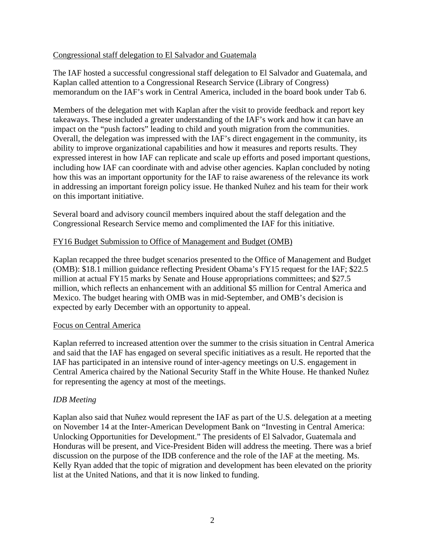### Congressional staff delegation to El Salvador and Guatemala

The IAF hosted a successful congressional staff delegation to El Salvador and Guatemala, and Kaplan called attention to a Congressional Research Service (Library of Congress) memorandum on the IAF's work in Central America, included in the board book under Tab 6.

Members of the delegation met with Kaplan after the visit to provide feedback and report key takeaways. These included a greater understanding of the IAF's work and how it can have an impact on the "push factors" leading to child and youth migration from the communities. Overall, the delegation was impressed with the IAF's direct engagement in the community, its ability to improve organizational capabilities and how it measures and reports results. They expressed interest in how IAF can replicate and scale up efforts and posed important questions, including how IAF can coordinate with and advise other agencies. Kaplan concluded by noting how this was an important opportunity for the IAF to raise awareness of the relevance its work in addressing an important foreign policy issue. He thanked Nuñez and his team for their work on this important initiative.

Several board and advisory council members inquired about the staff delegation and the Congressional Research Service memo and complimented the IAF for this initiative.

### FY16 Budget Submission to Office of Management and Budget (OMB)

Kaplan recapped the three budget scenarios presented to the Office of Management and Budget (OMB): \$18.1 million guidance reflecting President Obama's FY15 request for the IAF; \$22.5 million at actual FY15 marks by Senate and House appropriations committees; and \$27.5 million, which reflects an enhancement with an additional \$5 million for Central America and Mexico. The budget hearing with OMB was in mid-September, and OMB's decision is expected by early December with an opportunity to appeal.

#### Focus on Central America

Kaplan referred to increased attention over the summer to the crisis situation in Central America and said that the IAF has engaged on several specific initiatives as a result. He reported that the IAF has participated in an intensive round of inter-agency meetings on U.S. engagement in Central America chaired by the National Security Staff in the White House. He thanked Nuñez for representing the agency at most of the meetings.

# *IDB Meeting*

Kaplan also said that Nuñez would represent the IAF as part of the U.S. delegation at a meeting on November 14 at the Inter-American Development Bank on "Investing in Central America: Unlocking Opportunities for Development." The presidents of El Salvador, Guatemala and Honduras will be present, and Vice-President Biden will address the meeting. There was a brief discussion on the purpose of the IDB conference and the role of the IAF at the meeting. Ms. Kelly Ryan added that the topic of migration and development has been elevated on the priority list at the United Nations, and that it is now linked to funding.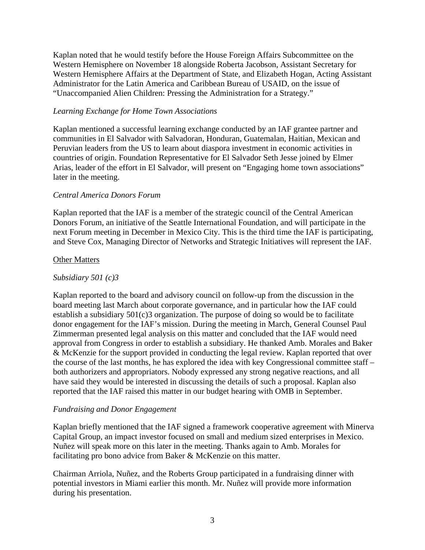Kaplan noted that he would testify before the House Foreign Affairs Subcommittee on the Western Hemisphere on November 18 alongside Roberta Jacobson, Assistant Secretary for Western Hemisphere Affairs at the Department of State, and Elizabeth Hogan, Acting Assistant Administrator for the Latin America and Caribbean Bureau of USAID, on the issue of "Unaccompanied Alien Children: Pressing the Administration for a Strategy."

#### *Learning Exchange for Home Town Associations*

Kaplan mentioned a successful learning exchange conducted by an IAF grantee partner and communities in El Salvador with Salvadoran, Honduran, Guatemalan, Haitian, Mexican and Peruvian leaders from the US to learn about diaspora investment in economic activities in countries of origin. Foundation Representative for El Salvador Seth Jesse joined by Elmer Arias, leader of the effort in El Salvador, will present on "Engaging home town associations" later in the meeting.

### *Central America Donors Forum*

Kaplan reported that the IAF is a member of the strategic council of the Central American Donors Forum, an initiative of the Seattle International Foundation, and will participate in the next Forum meeting in December in Mexico City. This is the third time the IAF is participating, and Steve Cox, Managing Director of Networks and Strategic Initiatives will represent the IAF.

#### Other Matters

#### *Subsidiary 501 (c)3*

Kaplan reported to the board and advisory council on follow-up from the discussion in the board meeting last March about corporate governance, and in particular how the IAF could establish a subsidiary 501(c)3 organization. The purpose of doing so would be to facilitate donor engagement for the IAF's mission. During the meeting in March, General Counsel Paul Zimmerman presented legal analysis on this matter and concluded that the IAF would need approval from Congress in order to establish a subsidiary. He thanked Amb. Morales and Baker & McKenzie for the support provided in conducting the legal review. Kaplan reported that over the course of the last months, he has explored the idea with key Congressional committee staff – both authorizers and appropriators. Nobody expressed any strong negative reactions, and all have said they would be interested in discussing the details of such a proposal. Kaplan also reported that the IAF raised this matter in our budget hearing with OMB in September.

# *Fundraising and Donor Engagement*

Kaplan briefly mentioned that the IAF signed a framework cooperative agreement with Minerva Capital Group, an impact investor focused on small and medium sized enterprises in Mexico. Nuñez will speak more on this later in the meeting. Thanks again to Amb. Morales for facilitating pro bono advice from Baker & McKenzie on this matter.

Chairman Arriola, Nuñez, and the Roberts Group participated in a fundraising dinner with potential investors in Miami earlier this month. Mr. Nuñez will provide more information during his presentation.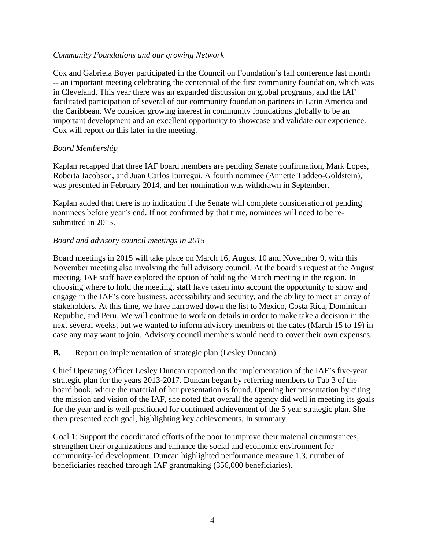#### *Community Foundations and our growing Network*

Cox and Gabriela Boyer participated in the Council on Foundation's fall conference last month -- an important meeting celebrating the centennial of the first community foundation, which was in Cleveland. This year there was an expanded discussion on global programs, and the IAF facilitated participation of several of our community foundation partners in Latin America and the Caribbean. We consider growing interest in community foundations globally to be an important development and an excellent opportunity to showcase and validate our experience. Cox will report on this later in the meeting.

### *Board Membership*

Kaplan recapped that three IAF board members are pending Senate confirmation, Mark Lopes, Roberta Jacobson, and Juan Carlos Iturregui. A fourth nominee (Annette Taddeo-Goldstein), was presented in February 2014, and her nomination was withdrawn in September.

Kaplan added that there is no indication if the Senate will complete consideration of pending nominees before year's end. If not confirmed by that time, nominees will need to be resubmitted in 2015.

# *Board and advisory council meetings in 2015*

Board meetings in 2015 will take place on March 16, August 10 and November 9, with this November meeting also involving the full advisory council. At the board's request at the August meeting, IAF staff have explored the option of holding the March meeting in the region. In choosing where to hold the meeting, staff have taken into account the opportunity to show and engage in the IAF's core business, accessibility and security, and the ability to meet an array of stakeholders. At this time, we have narrowed down the list to Mexico, Costa Rica, Dominican Republic, and Peru. We will continue to work on details in order to make take a decision in the next several weeks, but we wanted to inform advisory members of the dates (March 15 to 19) in case any may want to join. Advisory council members would need to cover their own expenses.

**B.** Report on implementation of strategic plan (Lesley Duncan)

Chief Operating Officer Lesley Duncan reported on the implementation of the IAF's five-year strategic plan for the years 2013-2017. Duncan began by referring members to Tab 3 of the board book, where the material of her presentation is found. Opening her presentation by citing the mission and vision of the IAF, she noted that overall the agency did well in meeting its goals for the year and is well-positioned for continued achievement of the 5 year strategic plan. She then presented each goal, highlighting key achievements. In summary:

Goal 1: Support the coordinated efforts of the poor to improve their material circumstances, strengthen their organizations and enhance the social and economic environment for community-led development. Duncan highlighted performance measure 1.3, number of beneficiaries reached through IAF grantmaking (356,000 beneficiaries).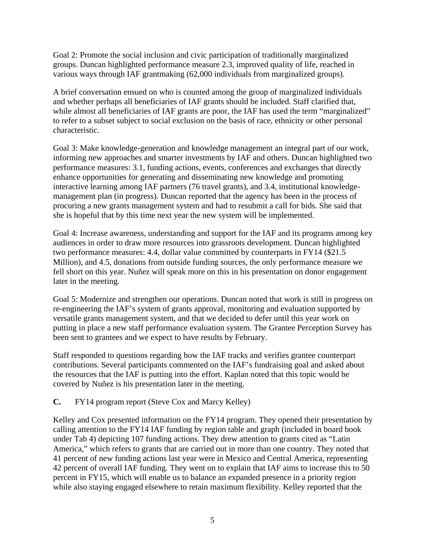Goal 2: Promote the social inclusion and civic participation of traditionally marginalized groups. Duncan highlighted performance measure 2.3, improved quality of life, reached in various ways through IAF grantmaking (62,000 individuals from marginalized groups).

A brief conversation ensued on who is counted among the group of marginalized individuals and whether perhaps all beneficiaries of IAF grants should be included. Staff clarified that, while almost all beneficiaries of IAF grants are poor, the IAF has used the term "marginalized" to refer to a subset subject to social exclusion on the basis of race, ethnicity or other personal characteristic.

Goal 3: Make knowledge-generation and knowledge management an integral part of our work, informing new approaches and smarter investments by IAF and others. Duncan highlighted two performance measures: 3.1, funding actions, events, conferences and exchanges that directly enhance opportunities for generating and disseminating new knowledge and promoting interactive learning among IAF partners (76 travel grants), and 3.4, institutional knowledgemanagement plan (in progress). Duncan reported that the agency has been in the process of procuring a new grants management system and had to resubmit a call for bids. She said that she is hopeful that by this time next year the new system will be implemented.

Goal 4: Increase awareness, understanding and support for the IAF and its programs among key audiences in order to draw more resources into grassroots development. Duncan highlighted two performance measures: 4.4, dollar value committed by counterparts in FY14 (\$21.5 Million), and 4.5, donations from outside funding sources, the only performance measure we fell short on this year. Nuñez will speak more on this in his presentation on donor engagement later in the meeting.

Goal 5: Modernize and strengthen our operations. Duncan noted that work is still in progress on re-engineering the IAF's system of grants approval, monitoring and evaluation supported by versatile grants management system, and that we decided to defer until this year work on putting in place a new staff performance evaluation system. The Grantee Perception Survey has been sent to grantees and we expect to have results by February.

Staff responded to questions regarding how the IAF tracks and verifies grantee counterpart contributions. Several participants commented on the IAF's fundraising goal and asked about the resources that the IAF is putting into the effort. Kaplan noted that this topic would be covered by Nuñez is his presentation later in the meeting.

**C.** FY14 program report (Steve Cox and Marcy Kelley)

Kelley and Cox presented information on the FY14 program. They opened their presentation by calling attention to the FY14 IAF funding by region table and graph (included in board book under Tab 4) depicting 107 funding actions. They drew attention to grants cited as "Latin America," which refers to grants that are carried out in more than one country. They noted that 41 percent of new funding actions last year were in Mexico and Central America, representing 42 percent of overall IAF funding. They went on to explain that IAF aims to increase this to 50 percent in FY15, which will enable us to balance an expanded presence in a priority region while also staying engaged elsewhere to retain maximum flexibility. Kelley reported that the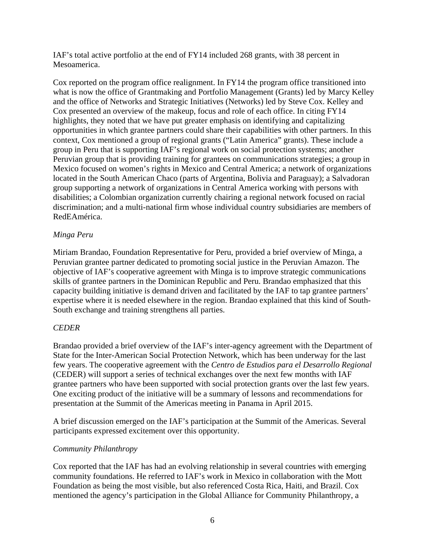IAF's total active portfolio at the end of FY14 included 268 grants, with 38 percent in Mesoamerica.

Cox reported on the program office realignment. In FY14 the program office transitioned into what is now the office of Grantmaking and Portfolio Management (Grants) led by Marcy Kelley and the office of Networks and Strategic Initiatives (Networks) led by Steve Cox. Kelley and Cox presented an overview of the makeup, focus and role of each office. In citing FY14 highlights, they noted that we have put greater emphasis on identifying and capitalizing opportunities in which grantee partners could share their capabilities with other partners. In this context, Cox mentioned a group of regional grants ("Latin America" grants). These include a group in Peru that is supporting IAF's regional work on social protection systems; another Peruvian group that is providing training for grantees on communications strategies; a group in Mexico focused on women's rights in Mexico and Central America; a network of organizations located in the South American Chaco (parts of Argentina, Bolivia and Paraguay); a Salvadoran group supporting a network of organizations in Central America working with persons with disabilities; a Colombian organization currently chairing a regional network focused on racial discrimination; and a multi-national firm whose individual country subsidiaries are members of RedEAmérica.

# *Minga Peru*

Miriam Brandao, Foundation Representative for Peru, provided a brief overview of Minga, a Peruvian grantee partner dedicated to promoting social justice in the Peruvian Amazon. The objective of IAF's cooperative agreement with Minga is to improve strategic communications skills of grantee partners in the Dominican Republic and Peru. Brandao emphasized that this capacity building initiative is demand driven and facilitated by the IAF to tap grantee partners' expertise where it is needed elsewhere in the region. Brandao explained that this kind of South-South exchange and training strengthens all parties.

# *CEDER*

Brandao provided a brief overview of the IAF's inter-agency agreement with the Department of State for the Inter-American Social Protection Network, which has been underway for the last few years. The cooperative agreement with the *Centro de Estudios para el Desarrollo Regional* (CEDER) will support a series of technical exchanges over the next few months with IAF grantee partners who have been supported with social protection grants over the last few years. One exciting product of the initiative will be a summary of lessons and recommendations for presentation at the Summit of the Americas meeting in Panama in April 2015.

A brief discussion emerged on the IAF's participation at the Summit of the Americas. Several participants expressed excitement over this opportunity.

# *Community Philanthropy*

Cox reported that the IAF has had an evolving relationship in several countries with emerging community foundations. He referred to IAF's work in Mexico in collaboration with the Mott Foundation as being the most visible, but also referenced Costa Rica, Haiti, and Brazil. Cox mentioned the agency's participation in the Global Alliance for Community Philanthropy, a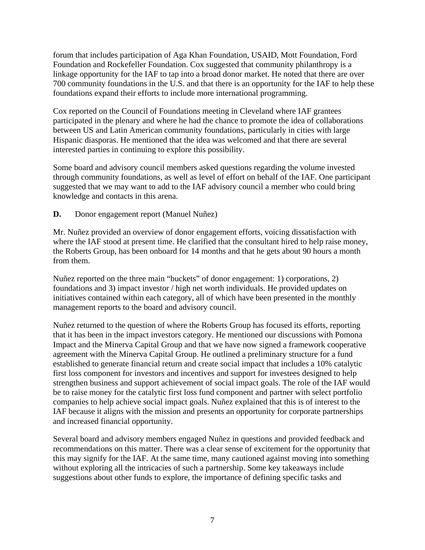forum that includes participation of Aga Khan Foundation, USAID, Mott Foundation, Ford Foundation and Rockefeller Foundation. Cox suggested that community philanthropy is a linkage opportunity for the IAF to tap into a broad donor market. He noted that there are over 700 community foundations in the U.S. and that there is an opportunity for the IAF to help these foundations expand their efforts to include more international programming.

Cox reported on the Council of Foundations meeting in Cleveland where IAF grantees participated in the plenary and where he had the chance to promote the idea of collaborations between US and Latin American community foundations, particularly in cities with large Hispanic diasporas. He mentioned that the idea was welcomed and that there are several interested parties in continuing to explore this possibility.

Some board and advisory council members asked questions regarding the volume invested through community foundations, as well as level of effort on behalf of the IAF. One participant suggested that we may want to add to the IAF advisory council a member who could bring knowledge and contacts in this arena.

# **D.** Donor engagement report (Manuel Nuñez)

Mr. Nuñez provided an overview of donor engagement efforts, voicing dissatisfaction with where the IAF stood at present time. He clarified that the consultant hired to help raise money, the Roberts Group, has been onboard for 14 months and that he gets about 90 hours a month from them.

Nuñez reported on the three main "buckets" of donor engagement: 1) corporations, 2) foundations and 3) impact investor / high net worth individuals. He provided updates on initiatives contained within each category, all of which have been presented in the monthly management reports to the board and advisory council.

Nuñez returned to the question of where the Roberts Group has focused its efforts, reporting that it has been in the impact investors category. He mentioned our discussions with Pomona Impact and the Minerva Capital Group and that we have now signed a framework cooperative agreement with the Minerva Capital Group. He outlined a preliminary structure for a fund established to generate financial return and create social impact that includes a 10% catalytic first loss component for investors and incentives and support for investees designed to help strengthen business and support achievement of social impact goals. The role of the IAF would be to raise money for the catalytic first loss fund component and partner with select portfolio companies to help achieve social impact goals. Nuñez explained that this is of interest to the IAF because it aligns with the mission and presents an opportunity for corporate partnerships and increased financial opportunity.

Several board and advisory members engaged Nuñez in questions and provided feedback and recommendations on this matter. There was a clear sense of excitement for the opportunity that this may signify for the IAF. At the same time, many cautioned against moving into something without exploring all the intricacies of such a partnership. Some key takeaways include suggestions about other funds to explore, the importance of defining specific tasks and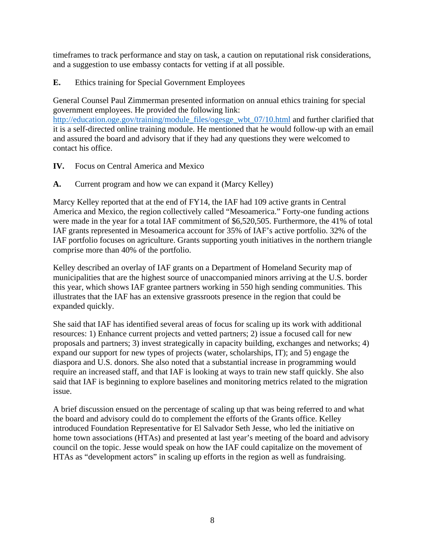timeframes to track performance and stay on task, a caution on reputational risk considerations, and a suggestion to use embassy contacts for vetting if at all possible.

# **E.** Ethics training for Special Government Employees

General Counsel Paul Zimmerman presented information on annual ethics training for special government employees. He provided the following link:

[http://education.oge.gov/training/module\\_files/ogesge\\_wbt\\_07/10.html](http://education.oge.gov/training/module_files/ogesge_wbt_07/10.html) and further clarified that it is a self-directed online training module. He mentioned that he would follow-up with an email and assured the board and advisory that if they had any questions they were welcomed to contact his office.

- **IV.** Focus on Central America and Mexico
- **A.** Current program and how we can expand it (Marcy Kelley)

Marcy Kelley reported that at the end of FY14, the IAF had 109 active grants in Central America and Mexico, the region collectively called "Mesoamerica." Forty-one funding actions were made in the year for a total IAF commitment of \$6,520,505. Furthermore, the 41% of total IAF grants represented in Mesoamerica account for 35% of IAF's active portfolio. 32% of the IAF portfolio focuses on agriculture. Grants supporting youth initiatives in the northern triangle comprise more than 40% of the portfolio.

Kelley described an overlay of IAF grants on a Department of Homeland Security map of municipalities that are the highest source of unaccompanied minors arriving at the U.S. border this year, which shows IAF grantee partners working in 550 high sending communities. This illustrates that the IAF has an extensive grassroots presence in the region that could be expanded quickly.

She said that IAF has identified several areas of focus for scaling up its work with additional resources: 1) Enhance current projects and vetted partners; 2) issue a focused call for new proposals and partners; 3) invest strategically in capacity building, exchanges and networks; 4) expand our support for new types of projects (water, scholarships, IT); and 5) engage the diaspora and U.S. donors. She also noted that a substantial increase in programming would require an increased staff, and that IAF is looking at ways to train new staff quickly. She also said that IAF is beginning to explore baselines and monitoring metrics related to the migration issue.

A brief discussion ensued on the percentage of scaling up that was being referred to and what the board and advisory could do to complement the efforts of the Grants office. Kelley introduced Foundation Representative for El Salvador Seth Jesse, who led the initiative on home town associations (HTAs) and presented at last year's meeting of the board and advisory council on the topic. Jesse would speak on how the IAF could capitalize on the movement of HTAs as "development actors" in scaling up efforts in the region as well as fundraising.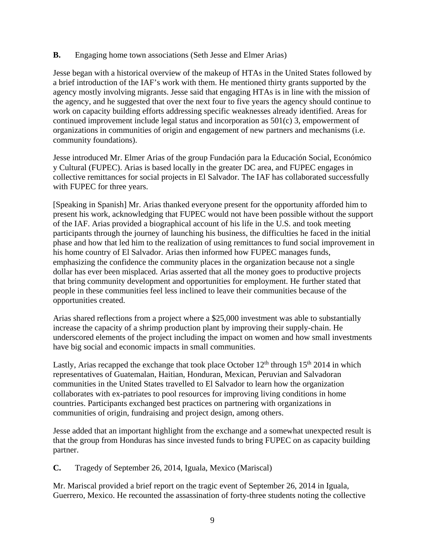### **B.** Engaging home town associations (Seth Jesse and Elmer Arias)

Jesse began with a historical overview of the makeup of HTAs in the United States followed by a brief introduction of the IAF's work with them. He mentioned thirty grants supported by the agency mostly involving migrants. Jesse said that engaging HTAs is in line with the mission of the agency, and he suggested that over the next four to five years the agency should continue to work on capacity building efforts addressing specific weaknesses already identified. Areas for continued improvement include legal status and incorporation as 501(c) 3, empowerment of organizations in communities of origin and engagement of new partners and mechanisms (i.e. community foundations).

Jesse introduced Mr. Elmer Arias of the group Fundación para la Educación Social, Económico y Cultural (FUPEC). Arias is based locally in the greater DC area, and FUPEC engages in collective remittances for social projects in El Salvador. The IAF has collaborated successfully with FUPEC for three years.

[Speaking in Spanish] Mr. Arias thanked everyone present for the opportunity afforded him to present his work, acknowledging that FUPEC would not have been possible without the support of the IAF. Arias provided a biographical account of his life in the U.S. and took meeting participants through the journey of launching his business, the difficulties he faced in the initial phase and how that led him to the realization of using remittances to fund social improvement in his home country of El Salvador. Arias then informed how FUPEC manages funds, emphasizing the confidence the community places in the organization because not a single dollar has ever been misplaced. Arias asserted that all the money goes to productive projects that bring community development and opportunities for employment. He further stated that people in these communities feel less inclined to leave their communities because of the opportunities created.

Arias shared reflections from a project where a \$25,000 investment was able to substantially increase the capacity of a shrimp production plant by improving their supply-chain. He underscored elements of the project including the impact on women and how small investments have big social and economic impacts in small communities.

Lastly, Arias recapped the exchange that took place October  $12<sup>th</sup>$  through  $15<sup>th</sup>$  2014 in which representatives of Guatemalan, Haitian, Honduran, Mexican, Peruvian and Salvadoran communities in the United States travelled to El Salvador to learn how the organization collaborates with ex-patriates to pool resources for improving living conditions in home countries. Participants exchanged best practices on partnering with organizations in communities of origin, fundraising and project design, among others.

Jesse added that an important highlight from the exchange and a somewhat unexpected result is that the group from Honduras has since invested funds to bring FUPEC on as capacity building partner.

**C.** Tragedy of September 26, 2014, Iguala, Mexico (Mariscal)

Mr. Mariscal provided a brief report on the tragic event of September 26, 2014 in Iguala, Guerrero, Mexico. He recounted the assassination of forty-three students noting the collective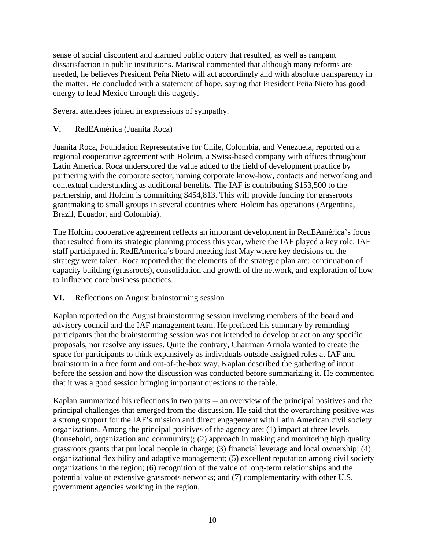sense of social discontent and alarmed public outcry that resulted, as well as rampant dissatisfaction in public institutions. Mariscal commented that although many reforms are needed, he believes President Peña Nieto will act accordingly and with absolute transparency in the matter. He concluded with a statement of hope, saying that President Peña Nieto has good energy to lead Mexico through this tragedy.

Several attendees joined in expressions of sympathy.

# **V.** RedEAmérica (Juanita Roca)

Juanita Roca, Foundation Representative for Chile, Colombia, and Venezuela, reported on a regional cooperative agreement with Holcim, a Swiss-based company with offices throughout Latin America. Roca underscored the value added to the field of development practice by partnering with the corporate sector, naming corporate know-how, contacts and networking and contextual understanding as additional benefits. The IAF is contributing \$153,500 to the partnership, and Holcim is committing \$454,813. This will provide funding for grassroots grantmaking to small groups in several countries where Holcim has operations (Argentina, Brazil, Ecuador, and Colombia).

The Holcim cooperative agreement reflects an important development in RedEAmérica's focus that resulted from its strategic planning process this year, where the IAF played a key role. IAF staff participated in RedEAmerica's board meeting last May where key decisions on the strategy were taken. Roca reported that the elements of the strategic plan are: continuation of capacity building (grassroots), consolidation and growth of the network, and exploration of how to influence core business practices.

**VI.** Reflections on August brainstorming session

Kaplan reported on the August brainstorming session involving members of the board and advisory council and the IAF management team. He prefaced his summary by reminding participants that the brainstorming session was not intended to develop or act on any specific proposals, nor resolve any issues. Quite the contrary, Chairman Arriola wanted to create the space for participants to think expansively as individuals outside assigned roles at IAF and brainstorm in a free form and out-of-the-box way. Kaplan described the gathering of input before the session and how the discussion was conducted before summarizing it. He commented that it was a good session bringing important questions to the table.

Kaplan summarized his reflections in two parts -- an overview of the principal positives and the principal challenges that emerged from the discussion. He said that the overarching positive was a strong support for the IAF's mission and direct engagement with Latin American civil society organizations. Among the principal positives of the agency are: (1) impact at three levels (household, organization and community); (2) approach in making and monitoring high quality grassroots grants that put local people in charge; (3) financial leverage and local ownership; (4) organizational flexibility and adaptive management; (5) excellent reputation among civil society organizations in the region; (6) recognition of the value of long-term relationships and the potential value of extensive grassroots networks; and (7) complementarity with other U.S. government agencies working in the region.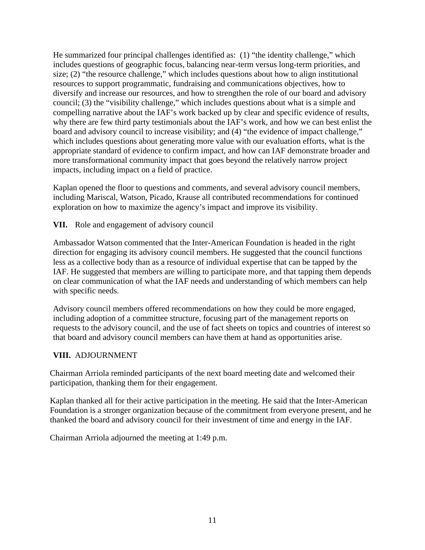He summarized four principal challenges identified as: (1) "the identity challenge," which includes questions of geographic focus, balancing near-term versus long-term priorities, and size; (2) "the resource challenge," which includes questions about how to align institutional resources to support programmatic, fundraising and communications objectives, how to diversify and increase our resources, and how to strengthen the role of our board and advisory council; (3) the "visibility challenge," which includes questions about what is a simple and compelling narrative about the IAF's work backed up by clear and specific evidence of results, why there are few third party testimonials about the IAF's work, and how we can best enlist the board and advisory council to increase visibility; and (4) "the evidence of impact challenge," which includes questions about generating more value with our evaluation efforts, what is the appropriate standard of evidence to confirm impact, and how can IAF demonstrate broader and more transformational community impact that goes beyond the relatively narrow project impacts, including impact on a field of practice.

Kaplan opened the floor to questions and comments, and several advisory council members, including Mariscal, Watson, Picado, Krause all contributed recommendations for continued exploration on how to maximize the agency's impact and improve its visibility.

**VII.** Role and engagement of advisory council

Ambassador Watson commented that the Inter-American Foundation is headed in the right direction for engaging its advisory council members. He suggested that the council functions less as a collective body than as a resource of individual expertise that can be tapped by the IAF. He suggested that members are willing to participate more, and that tapping them depends on clear communication of what the IAF needs and understanding of which members can help with specific needs.

Advisory council members offered recommendations on how they could be more engaged, including adoption of a committee structure, focusing part of the management reports on requests to the advisory council, and the use of fact sheets on topics and countries of interest so that board and advisory council members can have them at hand as opportunities arise.

# **VIII.** ADJOURNMENT

Chairman Arriola reminded participants of the next board meeting date and welcomed their participation, thanking them for their engagement.

Kaplan thanked all for their active participation in the meeting. He said that the Inter-American Foundation is a stronger organization because of the commitment from everyone present, and he thanked the board and advisory council for their investment of time and energy in the IAF.

Chairman Arriola adjourned the meeting at 1:49 p.m.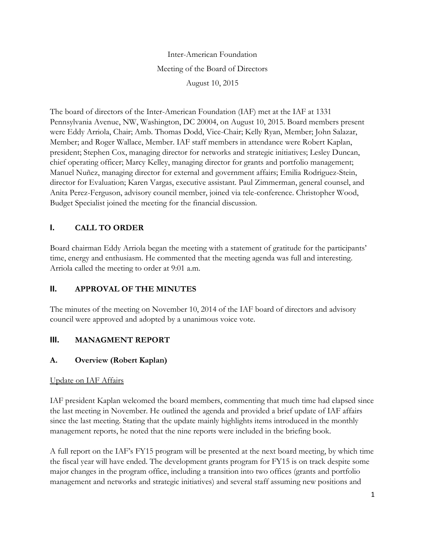Inter-American Foundation Meeting of the Board of Directors August 10, 2015

The board of directors of the Inter-American Foundation (IAF) met at the IAF at 1331 Pennsylvania Avenue, NW, Washington, DC 20004, on August 10, 2015. Board members present were Eddy Arriola, Chair; Amb. Thomas Dodd, Vice-Chair; Kelly Ryan, Member; John Salazar, Member; and Roger Wallace, Member. IAF staff members in attendance were Robert Kaplan, president; Stephen Cox, managing director for networks and strategic initiatives; Lesley Duncan, chief operating officer; Marcy Kelley, managing director for grants and portfolio management; Manuel Nuñez, managing director for external and government affairs; Emilia Rodriguez-Stein, director for Evaluation; Karen Vargas, executive assistant. Paul Zimmerman, general counsel, and Anita Perez-Ferguson, advisory council member, joined via tele-conference. Christopher Wood, Budget Specialist joined the meeting for the financial discussion.

# **I. CALL TO ORDER**

Board chairman Eddy Arriola began the meeting with a statement of gratitude for the participants' time, energy and enthusiasm. He commented that the meeting agenda was full and interesting. Arriola called the meeting to order at 9:01 a.m.

# **II. APPROVAL OF THE MINUTES**

The minutes of the meeting on November 10, 2014 of the IAF board of directors and advisory council were approved and adopted by a unanimous voice vote.

# **III. MANAGMENT REPORT**

# **A. Overview (Robert Kaplan)**

# Update on IAF Affairs

IAF president Kaplan welcomed the board members, commenting that much time had elapsed since the last meeting in November. He outlined the agenda and provided a brief update of IAF affairs since the last meeting. Stating that the update mainly highlights items introduced in the monthly management reports, he noted that the nine reports were included in the briefing book.

A full report on the IAF's FY15 program will be presented at the next board meeting, by which time the fiscal year will have ended. The development grants program for FY15 is on track despite some major changes in the program office, including a transition into two offices (grants and portfolio management and networks and strategic initiatives) and several staff assuming new positions and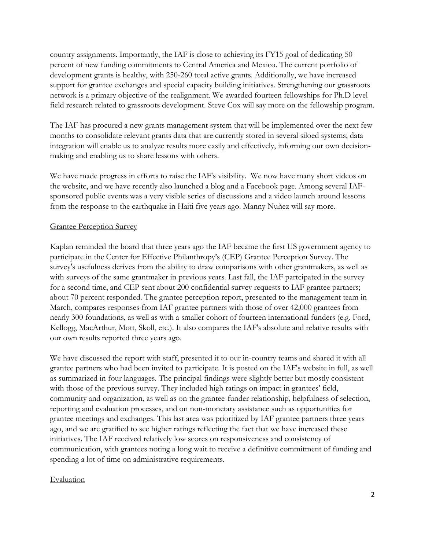country assignments. Importantly, the IAF is close to achieving its FY15 goal of dedicating 50 percent of new funding commitments to Central America and Mexico. The current portfolio of development grants is healthy, with 250-260 total active grants. Additionally, we have increased support for grantee exchanges and special capacity building initiatives. Strengthening our grassroots network is a primary objective of the realignment. We awarded fourteen fellowships for Ph.D level field research related to grassroots development. Steve Cox will say more on the fellowship program.

The IAF has procured a new grants management system that will be implemented over the next few months to consolidate relevant grants data that are currently stored in several siloed systems; data integration will enable us to analyze results more easily and effectively, informing our own decisionmaking and enabling us to share lessons with others.

We have made progress in efforts to raise the IAF's visibility. We now have many short videos on the website, and we have recently also launched a blog and a Facebook page. Among several IAFsponsored public events was a very visible series of discussions and a video launch around lessons from the response to the earthquake in Haiti five years ago. Manny Nuñez will say more.

### Grantee Perception Survey

Kaplan reminded the board that three years ago the IAF became the first US government agency to participate in the Center for Effective Philanthropy's (CEP) Grantee Perception Survey. The survey's usefulness derives from the ability to draw comparisons with other grantmakers, as well as with surveys of the same grantmaker in previous years. Last fall, the IAF partcipated in the survey for a second time, and CEP sent about 200 confidential survey requests to IAF grantee partners; about 70 percent responded. The grantee perception report, presented to the management team in March, compares responses from IAF grantee partners with those of over 42,000 grantees from nearly 300 foundations, as well as with a smaller cohort of fourteen international funders (e.g. Ford, Kellogg, MacArthur, Mott, Skoll, etc.). It also compares the IAF's absolute and relative results with our own results reported three years ago.

We have discussed the report with staff, presented it to our in-country teams and shared it with all grantee partners who had been invited to participate. It is posted on the IAF's website in full, as well as summarized in four languages. The principal findings were slightly better but mostly consistent with those of the previous survey. They included high ratings on impact in grantees' field, community and organization, as well as on the grantee-funder relationship, helpfulness of selection, reporting and evaluation processes, and on non-monetary assistance such as opportunities for grantee meetings and exchanges. This last area was prioritized by IAF grantee partners three years ago, and we are gratified to see higher ratings reflecting the fact that we have increased these initiatives. The IAF received relatively low scores on responsiveness and consistency of communication, with grantees noting a long wait to receive a definitive commitment of funding and spending a lot of time on administrative requirements.

#### Evaluation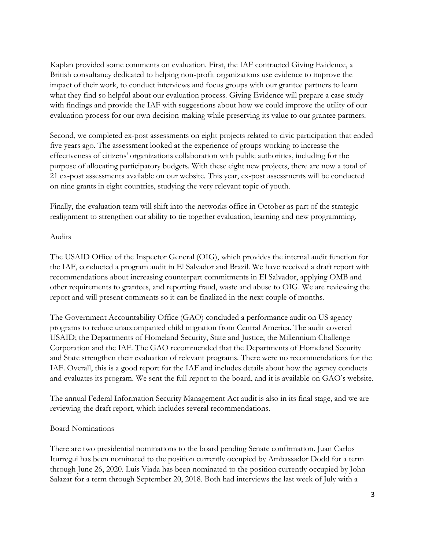Kaplan provided some comments on evaluation. First, the IAF contracted Giving Evidence, a British consultancy dedicated to helping non-profit organizations use evidence to improve the impact of their work, to conduct interviews and focus groups with our grantee partners to learn what they find so helpful about our evaluation process. Giving Evidence will prepare a case study with findings and provide the IAF with suggestions about how we could improve the utility of our evaluation process for our own decision-making while preserving its value to our grantee partners.

Second, we completed ex-post assessments on eight projects related to civic participation that ended five years ago. The assessment looked at the experience of groups working to increase the effectiveness of citizens' organizations collaboration with public authorities, including for the purpose of allocating participatory budgets. With these eight new projects, there are now a total of 21 ex-post assessments available on our website. This year, ex-post assessments will be conducted on nine grants in eight countries, studying the very relevant topic of youth.

Finally, the evaluation team will shift into the networks office in October as part of the strategic realignment to strengthen our ability to tie together evaluation, learning and new programming.

### Audits

The USAID Office of the Inspector General (OIG), which provides the internal audit function for the IAF, conducted a program audit in El Salvador and Brazil. We have received a draft report with recommendations about increasing counterpart commitments in El Salvador, applying OMB and other requirements to grantees, and reporting fraud, waste and abuse to OIG. We are reviewing the report and will present comments so it can be finalized in the next couple of months.

The Government Accountability Office (GAO) concluded a performance audit on US agency programs to reduce unaccompanied child migration from Central America. The audit covered USAID; the Departments of Homeland Security, State and Justice; the Millennium Challenge Corporation and the IAF. The GAO recommended that the Departments of Homeland Security and State strengthen their evaluation of relevant programs. There were no recommendations for the IAF. Overall, this is a good report for the IAF and includes details about how the agency conducts and evaluates its program. We sent the full report to the board, and it is available on GAO's website.

The annual Federal Information Security Management Act audit is also in its final stage, and we are reviewing the draft report, which includes several recommendations.

#### Board Nominations

There are two presidential nominations to the board pending Senate confirmation. Juan Carlos Iturregui has been nominated to the position currently occupied by Ambassador Dodd for a term through June 26, 2020. Luis Viada has been nominated to the position currently occupied by John Salazar for a term through September 20, 2018. Both had interviews the last week of July with a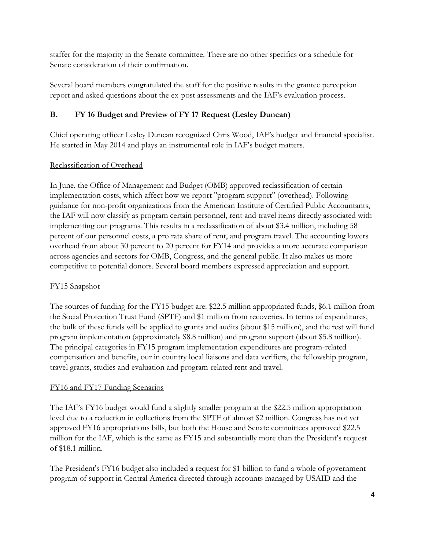staffer for the majority in the Senate committee. There are no other specifics or a schedule for Senate consideration of their confirmation.

Several board members congratulated the staff for the positive results in the grantee perception report and asked questions about the ex-post assessments and the IAF's evaluation process.

# **B. FY 16 Budget and Preview of FY 17 Request (Lesley Duncan)**

Chief operating officer Lesley Duncan recognized Chris Wood, IAF's budget and financial specialist. He started in May 2014 and plays an instrumental role in IAF's budget matters.

# Reclassification of Overhead

In June, the Office of Management and Budget (OMB) approved reclassification of certain implementation costs, which affect how we report "program support" (overhead). Following guidance for non-profit organizations from the American Institute of Certified Public Accountants, the IAF will now classify as program certain personnel, rent and travel items directly associated with implementing our programs. This results in a reclassification of about \$3.4 million, including 58 percent of our personnel costs, a pro rata share of rent, and program travel. The accounting lowers overhead from about 30 percent to 20 percent for FY14 and provides a more accurate comparison across agencies and sectors for OMB, Congress, and the general public. It also makes us more competitive to potential donors. Several board members expressed appreciation and support.

# FY15 Snapshot

The sources of funding for the FY15 budget are: \$22.5 million appropriated funds, \$6.1 million from the Social Protection Trust Fund (SPTF) and \$1 million from recoveries. In terms of expenditures, the bulk of these funds will be applied to grants and audits (about \$15 million), and the rest will fund program implementation (approximately \$8.8 million) and program support (about \$5.8 million). The principal categories in FY15 program implementation expenditures are program-related compensation and benefits, our in country local liaisons and data verifiers, the fellowship program, travel grants, studies and evaluation and program-related rent and travel.

# FY16 and FY17 Funding Scenarios

The IAF's FY16 budget would fund a slightly smaller program at the \$22.5 million appropriation level due to a reduction in collections from the SPTF of almost \$2 million. Congress has not yet approved FY16 appropriations bills, but both the House and Senate committees approved \$22.5 million for the IAF, which is the same as FY15 and substantially more than the President's request of \$18.1 million.

The President's FY16 budget also included a request for \$1 billion to fund a whole of government program of support in Central America directed through accounts managed by USAID and the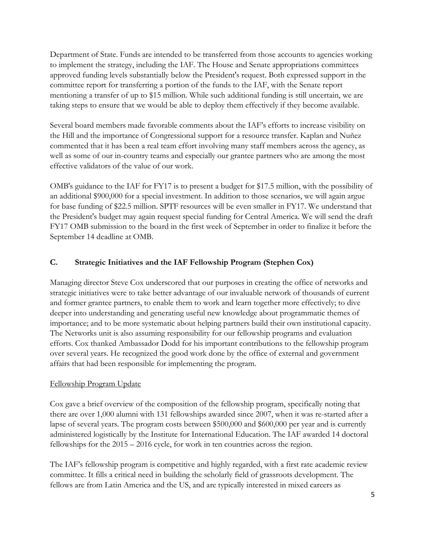Department of State. Funds are intended to be transferred from those accounts to agencies working to implement the strategy, including the IAF. The House and Senate appropriations committees approved funding levels substantially below the President's request. Both expressed support in the committee report for transferring a portion of the funds to the IAF, with the Senate report mentioning a transfer of up to \$15 million. While such additional funding is still uncertain, we are taking steps to ensure that we would be able to deploy them effectively if they become available.

Several board members made favorable comments about the IAF's efforts to increase visibility on the Hill and the importance of Congressional support for a resource transfer. Kaplan and Nuñez commented that it has been a real team effort involving many staff members across the agency, as well as some of our in-country teams and especially our grantee partners who are among the most effective validators of the value of our work.

OMB's guidance to the IAF for FY17 is to present a budget for \$17.5 million, with the possibility of an additional \$900,000 for a special investment. In addition to those scenarios, we will again argue for base funding of \$22.5 million. SPTF resources will be even smaller in FY17. We understand that the President's budget may again request special funding for Central America. We will send the draft FY17 OMB submission to the board in the first week of September in order to finalize it before the September 14 deadline at OMB.

# **C. Strategic Initiatives and the IAF Fellowship Program (Stephen Cox)**

Managing director Steve Cox underscored that our purposes in creating the office of networks and strategic initiatives were to take better advantage of our invaluable network of thousands of current and former grantee partners, to enable them to work and learn together more effectively; to dive deeper into understanding and generating useful new knowledge about programmatic themes of importance; and to be more systematic about helping partners build their own institutional capacity. The Networks unit is also assuming responsibility for our fellowship programs and evaluation efforts. Cox thanked Ambassador Dodd for his important contributions to the fellowship program over several years. He recognized the good work done by the office of external and government affairs that had been responsible for implementing the program.

# Fellowship Program Update

Cox gave a brief overview of the composition of the fellowship program, specifically noting that there are over 1,000 alumni with 131 fellowships awarded since 2007, when it was re-started after a lapse of several years. The program costs between \$500,000 and \$600,000 per year and is currently administered logistically by the Institute for International Education. The IAF awarded 14 doctoral fellowships for the 2015 – 2016 cycle, for work in ten countries across the region.

The IAF's fellowship program is competitive and highly regarded, with a first rate academic review committee. It fills a critical need in building the scholarly field of grassroots development. The fellows are from Latin America and the US, and are typically interested in mixed careers as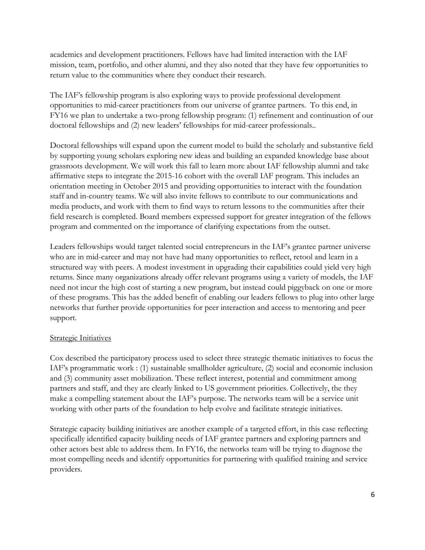academics and development practitioners. Fellows have had limited interaction with the IAF mission, team, portfolio, and other alumni, and they also noted that they have few opportunities to return value to the communities where they conduct their research.

The IAF's fellowship program is also exploring ways to provide professional development opportunities to mid-career practitioners from our universe of grantee partners. To this end, in FY16 we plan to undertake a two-prong fellowship program: (1) refinement and continuation of our doctoral fellowships and (2) new leaders' fellowships for mid-career professionals..

Doctoral fellowships will expand upon the current model to build the scholarly and substantive field by supporting young scholars exploring new ideas and building an expanded knowledge base about grassroots development. We will work this fall to learn more about IAF fellowship alumni and take affirmative steps to integrate the 2015-16 cohort with the overall IAF program. This includes an orientation meeting in October 2015 and providing opportunities to interact with the foundation staff and in-country teams. We will also invite fellows to contribute to our communications and media products, and work with them to find ways to return lessons to the communities after their field research is completed. Board members expressed support for greater integration of the fellows program and commented on the importance of clarifying expectations from the outset.

Leaders fellowships would target talented social entrepreneurs in the IAF's grantee partner universe who are in mid-career and may not have had many opportunities to reflect, retool and learn in a structured way with peers. A modest investment in upgrading their capabilities could yield very high returns. Since many organizations already offer relevant programs using a variety of models, the IAF need not incur the high cost of starting a new program, but instead could piggyback on one or more of these programs. This has the added benefit of enabling our leaders fellows to plug into other large networks that further provide opportunities for peer interaction and access to mentoring and peer support.

#### Strategic Initiatives

Cox described the participatory process used to select three strategic thematic initiatives to focus the IAF's programmatic work : (1) sustainable smallholder agriculture, (2) social and economic inclusion and (3) community asset mobilization. These reflect interest, potential and commitment among partners and staff, and they are clearly linked to US government priorities. Collectively, the they make a compelling statement about the IAF's purpose. The networks team will be a service unit working with other parts of the foundation to help evolve and facilitate strategic initiatives.

Strategic capacity building initiatives are another example of a targeted effort, in this case reflecting specifically identified capacity building needs of IAF grantee partners and exploring partners and other actors best able to address them. In FY16, the networks team will be trying to diagnose the most compelling needs and identify opportunities for partnering with qualified training and service providers.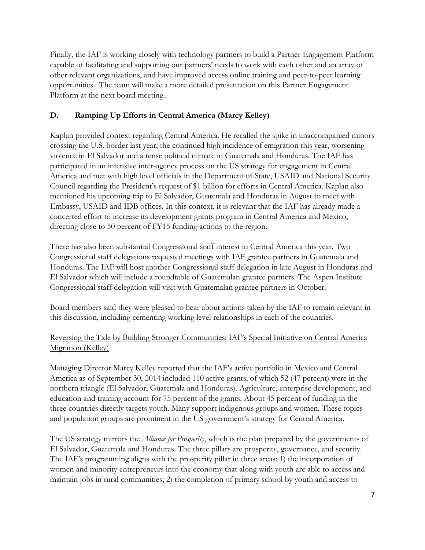Finally, the IAF is working closely with technology partners to build a Partner Engagement Platform capable of facilitating and supporting our partners' needs to work with each other and an array of other relevant organizations, and have improved access online training and peer-to-peer learning opportunities. The team will make a more detailed presentation on this Partner Engagement Platform at the next board meeting..

# **D. Ramping Up Efforts in Central America (Marcy Kelley)**

Kaplan provided context regarding Central America. He recalled the spike in unaccompanied minors crossing the U.S. border last year, the continued high incidence of emigration this year, worsening violence in El Salvador and a tense political climate in Guatemala and Honduras. The IAF has participated in an intensive inter-agency process on the US strategy for engagement in Central America and met with high level officials in the Department of State, USAID and National Security Council regarding the President's request of \$1 billion for efforts in Central America. Kaplan also mentioned his upcoming trip to El Salvador, Guatemala and Honduras in August to meet with Embassy, USAID and IDB offices. In this context, it is relevant that the IAF has already made a concerted effort to increase its development grants program in Central America and Mexico, directing close to 50 percent of FY15 funding actions to the region.

There has also been substantial Congressional staff interest in Central America this year. Two Congressional staff delegations requested meetings with IAF grantee partners in Guatemala and Honduras. The IAF will host another Congressional staff delegation in late August in Honduras and El Salvador which will include a roundtable of Guatemalan grantee partners. The Aspen Institute Congressional staff delegation will visit with Guatemalan grantee partners in October.

Board members said they were pleased to hear about actions taken by the IAF to remain relevant in this discussion, including cementing working level relationships in each of the countries.

# Reversing the Tide by Building Stronger Communities: IAF's Special Initiative on Central America Migration (Kelley)

Managing Director Marcy Kelley reported that the IAF's active portfolio in Mexico and Central America as of September 30, 2014 included 110 active grants, of which 52 (47 percent) were in the northern triangle (El Salvador, Guatemala and Honduras). Agriculture, enterprise development, and education and training account for 75 percent of the grants. About 45 percent of funding in the three countries directly targets youth. Many support indigenous groups and women. These topics and population groups are prominent in the US government's strategy for Central America.

The US strategy mirrors the *Alliance for Prosperity*, which is the plan prepared by the governments of El Salvador, Guatemala and Honduras. The three pillars are prosperity, governance, and security. The IAF's programming aligns with the prosperity pillar in three areas: 1) the incorporation of women and minority entrepreneurs into the economy that along with youth are able to access and maintain jobs in rural communities; 2) the completion of primary school by youth and access to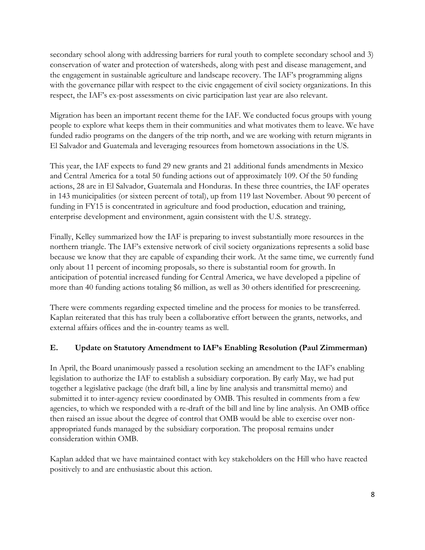secondary school along with addressing barriers for rural youth to complete secondary school and 3) conservation of water and protection of watersheds, along with pest and disease management, and the engagement in sustainable agriculture and landscape recovery. The IAF's programming aligns with the governance pillar with respect to the civic engagement of civil society organizations. In this respect, the IAF's ex-post assessments on civic participation last year are also relevant.

Migration has been an important recent theme for the IAF. We conducted focus groups with young people to explore what keeps them in their communities and what motivates them to leave. We have funded radio programs on the dangers of the trip north, and we are working with return migrants in El Salvador and Guatemala and leveraging resources from hometown associations in the US.

This year, the IAF expects to fund 29 new grants and 21 additional funds amendments in Mexico and Central America for a total 50 funding actions out of approximately 109. Of the 50 funding actions, 28 are in El Salvador, Guatemala and Honduras. In these three countries, the IAF operates in 143 municipalities (or sixteen percent of total), up from 119 last November. About 90 percent of funding in FY15 is concentrated in agriculture and food production, education and training, enterprise development and environment, again consistent with the U.S. strategy.

Finally, Kelley summarized how the IAF is preparing to invest substantially more resources in the northern triangle. The IAF's extensive network of civil society organizations represents a solid base because we know that they are capable of expanding their work. At the same time, we currently fund only about 11 percent of incoming proposals, so there is substantial room for growth. In anticipation of potential increased funding for Central America, we have developed a pipeline of more than 40 funding actions totaling \$6 million, as well as 30 others identified for prescreening.

There were comments regarding expected timeline and the process for monies to be transferred. Kaplan reiterated that this has truly been a collaborative effort between the grants, networks, and external affairs offices and the in-country teams as well.

# **E. Update on Statutory Amendment to IAF's Enabling Resolution (Paul Zimmerman)**

In April, the Board unanimously passed a resolution seeking an amendment to the IAF's enabling legislation to authorize the IAF to establish a subsidiary corporation. By early May, we had put together a legislative package (the draft bill, a line by line analysis and transmittal memo) and submitted it to inter-agency review coordinated by OMB. This resulted in comments from a few agencies, to which we responded with a re-draft of the bill and line by line analysis. An OMB office then raised an issue about the degree of control that OMB would be able to exercise over nonappropriated funds managed by the subsidiary corporation. The proposal remains under consideration within OMB.

Kaplan added that we have maintained contact with key stakeholders on the Hill who have reacted positively to and are enthusiastic about this action.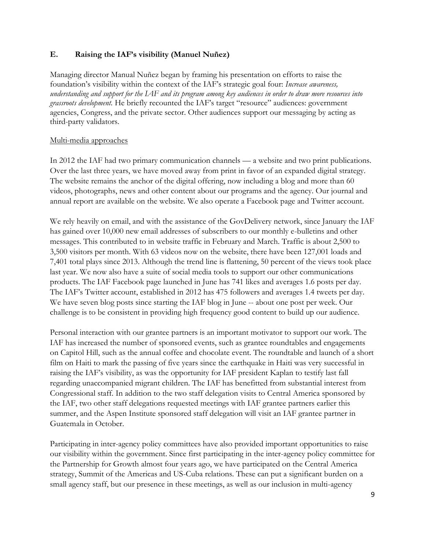### **E. Raising the IAF's visibility (Manuel Nuñez)**

Managing director Manual Nuñez began by framing his presentation on efforts to raise the foundation's visibility within the context of the IAF's strategic goal four: *Increase awareness, understanding and support for the IAF and its program among key audiences in order to draw more resources into grassroots development.* He briefly recounted the IAF's target "resource" audiences: government agencies, Congress, and the private sector. Other audiences support our messaging by acting as third-party validators.

#### Multi-media approaches

In 2012 the IAF had two primary communication channels — a website and two print publications. Over the last three years, we have moved away from print in favor of an expanded digital strategy. The website remains the anchor of the digital offering, now including a blog and more than 60 videos, photographs, news and other content about our programs and the agency. Our journal and annual report are available on the website. We also operate a Facebook page and Twitter account.

We rely heavily on email, and with the assistance of the GovDelivery network, since January the IAF has gained over 10,000 new email addresses of subscribers to our monthly e-bulletins and other messages. This contributed to in website traffic in February and March. Traffic is about 2,500 to 3,500 visitors per month. With 63 videos now on the website, there have been 127,001 loads and 7,401 total plays since 2013. Although the trend line is flattening, 50 percent of the views took place last year. We now also have a suite of social media tools to support our other communications products. The IAF Facebook page launched in June has 741 likes and averages 1.6 posts per day. The IAF's Twitter account, established in 2012 has 475 followers and averages 1.4 tweets per day. We have seven blog posts since starting the IAF blog in June -- about one post per week. Our challenge is to be consistent in providing high frequency good content to build up our audience.

Personal interaction with our grantee partners is an important motivator to support our work. The IAF has increased the number of sponsored events, such as grantee roundtables and engagements on Capitol Hill, such as the annual coffee and chocolate event. The roundtable and launch of a short film on Haiti to mark the passing of five years since the earthquake in Haiti was very successful in raising the IAF's visibility, as was the opportunity for IAF president Kaplan to testify last fall regarding unaccompanied migrant children. The IAF has benefitted from substantial interest from Congressional staff. In addition to the two staff delegation visits to Central America sponsored by the IAF, two other staff delegations requested meetings with IAF grantee partners earlier this summer, and the Aspen Institute sponsored staff delegation will visit an IAF grantee partner in Guatemala in October.

Participating in inter-agency policy committees have also provided important opportunities to raise our visibility within the government. Since first participating in the inter-agency policy committee for the Partnership for Growth almost four years ago, we have participated on the Central America strategy, Summit of the Americas and US-Cuba relations. These can put a significant burden on a small agency staff, but our presence in these meetings, as well as our inclusion in multi-agency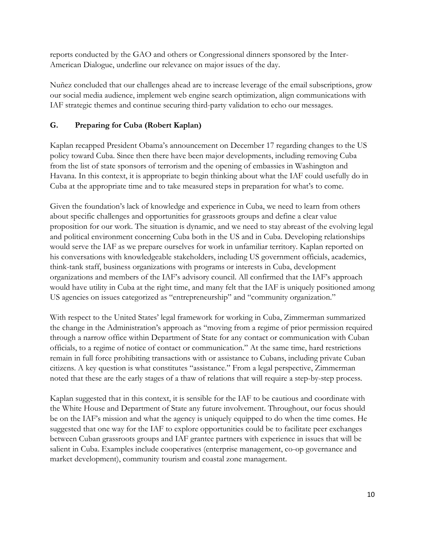reports conducted by the GAO and others or Congressional dinners sponsored by the Inter-American Dialogue, underline our relevance on major issues of the day.

Nuñez concluded that our challenges ahead are to increase leverage of the email subscriptions, grow our social media audience, implement web engine search optimization, align communications with IAF strategic themes and continue securing third-party validation to echo our messages.

# **G. Preparing for Cuba (Robert Kaplan)**

Kaplan recapped President Obama's announcement on December 17 regarding changes to the US policy toward Cuba. Since then there have been major developments, including removing Cuba from the list of state sponsors of terrorism and the opening of embassies in Washington and Havana. In this context, it is appropriate to begin thinking about what the IAF could usefully do in Cuba at the appropriate time and to take measured steps in preparation for what's to come.

Given the foundation's lack of knowledge and experience in Cuba, we need to learn from others about specific challenges and opportunities for grassroots groups and define a clear value proposition for our work. The situation is dynamic, and we need to stay abreast of the evolving legal and political environment concerning Cuba both in the US and in Cuba. Developing relationships would serve the IAF as we prepare ourselves for work in unfamiliar territory. Kaplan reported on his conversations with knowledgeable stakeholders, including US government officials, academics, think-tank staff, business organizations with programs or interests in Cuba, development organizations and members of the IAF's advisory council. All confirmed that the IAF's approach would have utility in Cuba at the right time, and many felt that the IAF is uniquely positioned among US agencies on issues categorized as "entrepreneurship" and "community organization."

With respect to the United States' legal framework for working in Cuba, Zimmerman summarized the change in the Administration's approach as "moving from a regime of prior permission required through a narrow office within Department of State for any contact or communication with Cuban officials, to a regime of notice of contact or communication." At the same time, hard restrictions remain in full force prohibiting transactions with or assistance to Cubans, including private Cuban citizens. A key question is what constitutes "assistance." From a legal perspective, Zimmerman noted that these are the early stages of a thaw of relations that will require a step-by-step process.

Kaplan suggested that in this context, it is sensible for the IAF to be cautious and coordinate with the White House and Department of State any future involvement. Throughout, our focus should be on the IAF's mission and what the agency is uniquely equipped to do when the time comes. He suggested that one way for the IAF to explore opportunities could be to facilitate peer exchanges between Cuban grassroots groups and IAF grantee partners with experience in issues that will be salient in Cuba. Examples include cooperatives (enterprise management, co-op governance and market development), community tourism and coastal zone management.